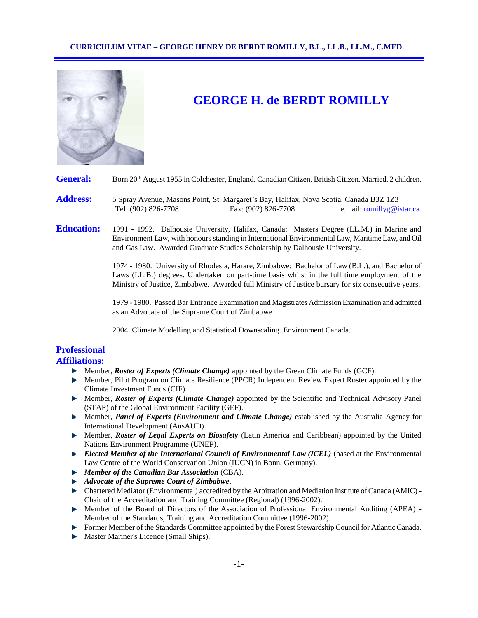

# **GEORGE H. de BERDT ROMILLY**

General: Born 20<sup>th</sup> August 1955 in Colchester, England. Canadian Citizen. British Citizen. Married. 2 children.

- **Address:** 5 Spray Avenue, Masons Point, St. Margaret's Bay, Halifax, Nova Scotia, Canada B3Z 1Z3 Tel: (902) 826-7708 Fax: (902) 826-7708 e.mail: [romillyg@istar.ca](mailto:romillyg@istar.ca)
- **Education:** 1991 1992. Dalhousie University, Halifax, Canada: Masters Degree (LL.M.) in Marine and Environment Law, with honours standing in International Environmental Law, Maritime Law, and Oil and Gas Law. Awarded Graduate Studies Scholarship by Dalhousie University.

1974 - 1980. University of Rhodesia, Harare, Zimbabwe: Bachelor of Law (B.L.), and Bachelor of Laws (LL.B.) degrees. Undertaken on part-time basis whilst in the full time employment of the Ministry of Justice, Zimbabwe. Awarded full Ministry of Justice bursary for six consecutive years.

1979 - 1980. Passed Bar Entrance Examination and Magistrates Admission Examination and admitted as an Advocate of the Supreme Court of Zimbabwe.

2004. Climate Modelling and Statistical Downscaling. Environment Canada.

# **Professional**

# **Affiliations:**

- Member, *Roster of Experts (Climate Change)* appointed by the Green Climate Funds (GCF).
- **Member, Pilot Program on Climate Resilience (PPCR) Independent Review Expert Roster appointed by the** Climate Investment Funds (CIF).
- Member, *Roster of Experts (Climate Change)* appointed by the Scientific and Technical Advisory Panel (STAP) of the Global Environment Facility (GEF).
- Member, *Panel of Experts (Environment and Climate Change)* established by the Australia Agency for International Development (AusAUD).
- Member, *Roster of Legal Experts on Biosafety* (Latin America and Caribbean) appointed by the United Nations Environment Programme (UNEP).
- *Elected Member of the International Council of Environmental Law (ICEL)* (based at the Environmental Law Centre of the World Conservation Union (IUCN) in Bonn, Germany).
- *Member of the Canadian Bar Association* (CBA).
- *Advocate of the Supreme Court of Zimbabwe*.
- Chartered Mediator (Environmental) accredited by the Arbitration and Mediation Institute of Canada (AMIC) Chair of the Accreditation and Training Committee (Regional) (1996-2002).
- Member of the Board of Directors of the Association of Professional Environmental Auditing (APEA) Member of the Standards, Training and Accreditation Committee (1996-2002).
- Former Member of the Standards Committee appointed by the Forest Stewardship Council for Atlantic Canada.
- Master Mariner's Licence (Small Ships).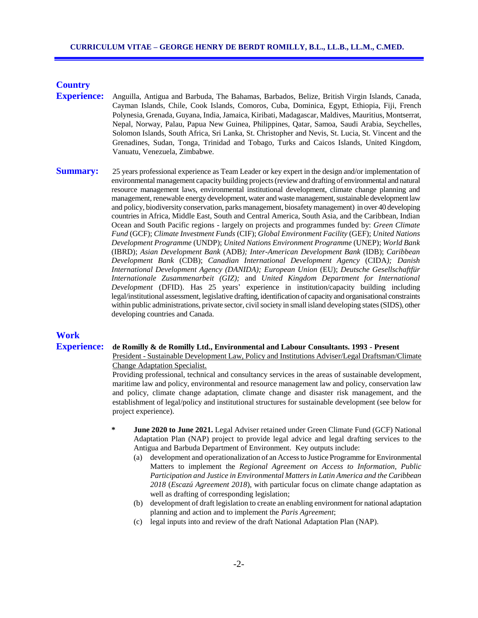# **Country**

- **Experience:** Anguilla, Antigua and Barbuda, The Bahamas, Barbados, Belize, British Virgin Islands, Canada, Cayman Islands, Chile, Cook Islands, Comoros, Cuba, Dominica, Egypt, Ethiopia, Fiji, French Polynesia, Grenada, Guyana, India, Jamaica, Kiribati, Madagascar, Maldives, Mauritius, Montserrat, Nepal, Norway, Palau, Papua New Guinea, Philippines, Qatar, Samoa, Saudi Arabia, Seychelles, Solomon Islands, South Africa, Sri Lanka, St. Christopher and Nevis, St. Lucia, St. Vincent and the Grenadines, Sudan, Tonga, Trinidad and Tobago, Turks and Caicos Islands, United Kingdom, Vanuatu, Venezuela, Zimbabwe.
- **Summary:** 25 years professional experience as Team Leader or key expert in the design and/or implementation of environmental management capacity building projects (review and drafting of environmental and natural resource management laws, environmental institutional development, climate change planning and management, renewable energy development, water and waste management, sustainable development law and policy, biodiversity conservation, parks management, biosafety management) in over 40 developing countries in Africa, Middle East, South and Central America, South Asia, and the Caribbean, Indian Ocean and South Pacific regions - largely on projects and programmes funded by: *Green Climate Fund* (GCF); *Climate Investment Funds* (CIF); *Global Environment Facility* (GEF); *United Nations Development Programme* (UNDP); *United Nations Environment Programme* (UNEP); *World Bank* (IBRD); *Asian Development Bank* (ADB*); Inter-American Development Bank* (IDB); *Caribbean Development Bank* (CDB); *Canadian International Development Agency* (CIDA*); Danish International Development Agency (DANIDA); European Union* (EU); *Deutsche Gesellschaftfür Internationale Zusammenarbeit (GIZ);* and *United Kingdom Department for International Development* (DFID). Has 25 years' experience in institution/capacity building including legal/institutional assessment, legislative drafting, identification of capacity and organisational constraints within public administrations, private sector, civil society in small island developing states (SIDS), other developing countries and Canada.

### **Work**

#### **Experience: de Romilly & de Romilly Ltd., Environmental and Labour Consultants. 1993 - Present**

President - Sustainable Development Law, Policy and Institutions Adviser/Legal Draftsman/Climate Change Adaptation Specialist.

Providing professional, technical and consultancy services in the areas of sustainable development, maritime law and policy, environmental and resource management law and policy, conservation law and policy, climate change adaptation, climate change and disaster risk management, and the establishment of legal/policy and institutional structures for sustainable development (see below for project experience).

- **June 2020 to June 2021.** Legal Adviser retained under Green Climate Fund (GCF) National Adaptation Plan (NAP) project to provide legal advice and legal drafting services to the Antigua and Barbuda Department of Environment.Key outputs include:
	- (a) development and operationalization of an Access to Justice Programme for Environmental Matters to implement the *Regional Agreement on Access to Information, Public Participation and Justice in Environmental Matters in Latin America and the Caribbean 2018* (*Escazú Agreement 2018*), with particular focus on climate change adaptation as well as drafting of corresponding legislation;
	- (b) development of draft legislation to create an enabling environment for national adaptation planning and action and to implement the *Paris Agreement*;
	- (c) legal inputs into and review of the draft National Adaptation Plan (NAP).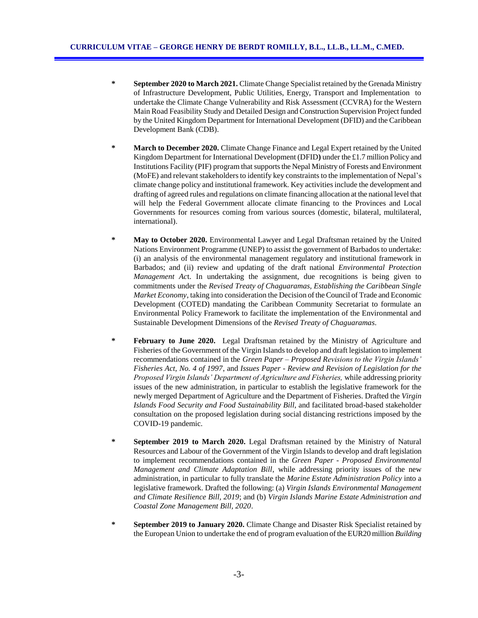- **\* September 2020 to March 2021.** Climate Change Specialist retained by the Grenada Ministry of Infrastructure Development, Public Utilities, Energy, Transport and Implementation to undertake the Climate Change Vulnerability and Risk Assessment (CCVRA) for the Western Main Road Feasibility Study and Detailed Design and Construction Supervision Project funded by the United Kingdom Department for International Development (DFID) and the Caribbean Development Bank (CDB).
- **\* March to December 2020.** Climate Change Finance and Legal Expert retained by the United Kingdom Department for International Development (DFID**)** under the £1.7 million Policy and Institutions Facility (PIF) program that supports the Nepal Ministry of Forests and Environment (MoFE) and relevant stakeholders to identify key constraints to the implementation of Nepal's climate change policy and institutional framework. Key activities include the development and drafting of agreed rules and regulations on climate financing allocation at the national level that will help the Federal Government allocate climate financing to the Provinces and Local Governments for resources coming from various sources (domestic, bilateral, multilateral, international).
- **\* May to October 2020.** Environmental Lawyer and Legal Draftsman retained by the United Nations Environment Programme (UNEP) to assist the government of Barbados to undertake: (i) an analysis of the environmental management regulatory and institutional framework in Barbados; and (ii) review and updating of the draft national *Environmental Protection Management Ac*t. In undertaking the assignment, due recognitions is being given to commitments under the *Revised Treaty of Chaguaramas, Establishing the Caribbean Single Market Economy*, taking into consideration the Decision of the Council of Trade and Economic Development (COTED) mandating the Caribbean Community Secretariat to formulate an Environmental Policy Framework to facilitate the implementation of the Environmental and Sustainable Development Dimensions of the *Revised Treaty of Chaguaramas*.
- **February to June 2020.** Legal Draftsman retained by the Ministry of Agriculture and Fisheries of the Government of the Virgin Islands to develop and draft legislation to implement recommendations contained in the *Green Paper – Proposed Revisions to the Virgin Islands' Fisheries Act, No. 4 of 1997*, and *Issues Paper - Review and Revision of Legislation for the Proposed Virgin Islands' Department of Agriculture and Fisheries,* while addressing priority issues of the new administration, in particular to establish the legislative framework for the newly merged Department of Agriculture and the Department of Fisheries. Drafted the *Virgin Islands Food Security and Food Sustainability Bill*, and facilitated broad-based stakeholder consultation on the proposed legislation during social distancing restrictions imposed by the COVID-19 pandemic.
- **\* September 2019 to March 2020.** Legal Draftsman retained by the Ministry of Natural Resources and Labour of the Government of the Virgin Islands to develop and draft legislation to implement recommendations contained in the *Green Paper - Proposed Environmental Management and Climate Adaptation Bill*, while addressing priority issues of the new administration, in particular to fully translate the *Marine Estate Administration Policy* into a legislative framework. Drafted the following: (a) *Virgin Islands Environmental Management and Climate Resilience Bill, 2019*; and (b) *Virgin Islands Marine Estate Administration and Coastal Zone Management Bill, 2020*.
- **\* September 2019 to January 2020.** Climate Change and Disaster Risk Specialist retained by the European Union to undertake the end of program evaluation of the EUR20 million *Building*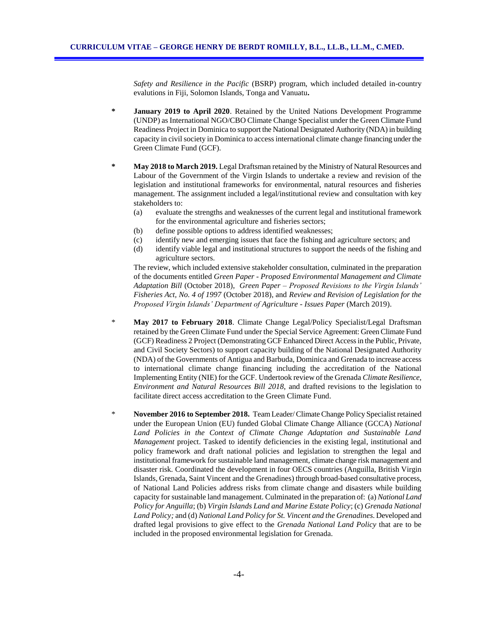*Safety and Resilience in the Pacific* (BSRP) program, which included detailed in-country evalutions in Fiji, Solomon Islands, Tonga and Vanuatu**.**

- **\* January 2019 to April 2020**. Retained by the United Nations Development Programme (UNDP) as International NGO/CBO Climate Change Specialist under the Green Climate Fund Readiness Project in Dominica to support the National Designated Authority (NDA) in building capacity in civil society in Dominica to access international climate change financing under the Green Climate Fund (GCF).
- **\* May 2018 to March 2019.** Legal Draftsman retained by the Ministry of Natural Resources and Labour of the Government of the Virgin Islands to undertake a review and revision of the legislation and institutional frameworks for environmental, natural resources and fisheries management. The assignment included a legal/institutional review and consultation with key stakeholders to:
	- (a) evaluate the strengths and weaknesses of the current legal and institutional framework for the environmental agriculture and fisheries sectors;
	- (b) define possible options to address identified weaknesses;
	- (c) identify new and emerging issues that face the fishing and agriculture sectors; and
	- (d) identify viable legal and institutional structures to support the needs of the fishing and agriculture sectors.

The review, which included extensive stakeholder consultation, culminated in the preparation of the documents entitled *Green Paper - Proposed Environmental Management and Climate Adaptation Bill* (October 2018), *Green Paper – Proposed Revisions to the Virgin Islands' Fisheries Act, No. 4 of 1997* (October 2018), and *Review and Revision of Legislation for the Proposed Virgin Islands' Department of Agriculture - Issues Paper* (March 2019).

- \* **May 2017 to February 2018**. Climate Change Legal/Policy Specialist/Legal Draftsman retained by the Green Climate Fund under the Special Service Agreement: Green Climate Fund (GCF) Readiness 2 Project (Demonstrating GCF Enhanced Direct Access in the Public, Private, and Civil Society Sectors) to support capacity building of the National Designated Authority (NDA) of the Governments of Antigua and Barbuda, Dominica and Grenada to increase access to international climate change financing including the accreditation of the National Implementing Entity (NIE) for the GCF. Undertook review of the Grenada *Climate Resilience, Environment and Natural Resources Bill 2018*, and drafted revisions to the legislation to facilitate direct access accreditation to the Green Climate Fund.
- \* **November 2016 to September 2018.** Team Leader/ Climate Change Policy Specialist retained under the European Union (EU) funded Global Climate Change Alliance (GCCA) *National Land Policies in the Context of Climate Change Adaptation and Sustainable Land Management* project. Tasked to identify deficiencies in the existing legal, institutional and policy framework and draft national policies and legislation to strengthen the legal and institutional framework for sustainable land management, climate change risk management and disaster risk. Coordinated the development in four OECS countries (Anguilla, British Virgin Islands, Grenada, Saint Vincent and the Grenadines) through broad-based consultative process, of National Land Policies address risks from climate change and disasters while building capacity for sustainable land management. Culminated in the preparation of: (a) *National Land Policy for Anguilla*; (b) *Virgin Islands Land and Marine Estate Policy*; (c) *Grenada National Land Policy;* and (d) *National Land Policy for St. Vincent and the Grenadines*. Developed and drafted legal provisions to give effect to the *Grenada National Land Policy* that are to be included in the proposed environmental legislation for Grenada.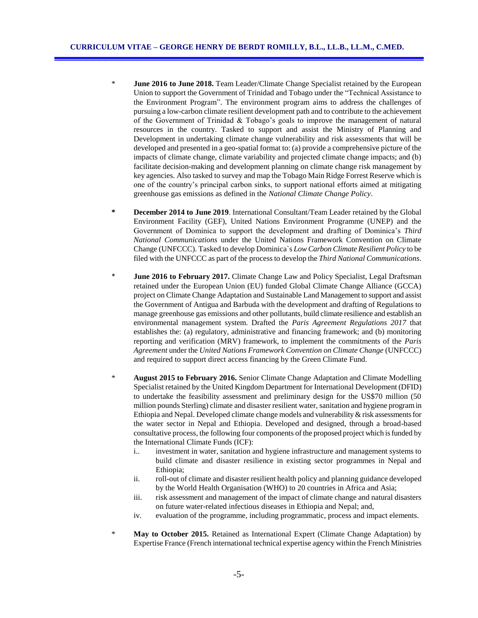- \* **June 2016 to June 2018.** Team Leader/Climate Change Specialist retained by the European Union to support the Government of Trinidad and Tobago under the "Technical Assistance to the Environment Program". The environment program aims to address the challenges of pursuing a low-carbon climate resilient development path and to contribute to the achievement of the Government of Trinidad & Tobago's goals to improve the management of natural resources in the country. Tasked to support and assist the Ministry of Planning and Development in undertaking climate change vulnerability and risk assessments that will be developed and presented in a geo-spatial format to: (a) provide a comprehensive picture of the impacts of climate change, climate variability and projected climate change impacts; and (b) facilitate decision-making and development planning on climate change risk management by key agencies. Also tasked to survey and map the Tobago Main Ridge Forrest Reserve which is one of the country's principal carbon sinks, to support national efforts aimed at mitigating greenhouse gas emissions as defined in the *National Climate Change Policy*.
- **\* December 2014 to June 2019**. International Consultant/Team Leader retained by the Global Environment Facility (GEF), United Nations Environment Programme (UNEP) and the Government of Dominica to support the development and drafting of Dominica's *Third National Communications* under the United Nations Framework Convention on Climate Change (UNFCCC). Tasked to develop Dominica`s *Low Carbon Climate Resilient Policy* to be filed with the UNFCCC as part of the process to develop the *Third National Communications*.
- \* **June 2016 to February 2017.** Climate Change Law and Policy Specialist, Legal Draftsman retained under the European Union (EU) funded Global Climate Change Alliance (GCCA) project on Climate Change Adaptation and Sustainable Land Management to support and assist the Government of Antigua and Barbuda with the development and drafting of Regulations to manage greenhouse gas emissions and other pollutants, build climate resilience and establish an environmental management system. Drafted the *Paris Agreement Regulations 2017* that establishes the: (a) regulatory, administrative and financing framework; and (b) monitoring reporting and verification (MRV) framework, to implement the commitments of the *Paris Agreement* under the *United Nations Framework Convention on Climate Change* (UNFCCC) and required to support direct access financing by the Green Climate Fund.
- \* **August 2015 to February 2016.** Senior Climate Change Adaptation and Climate Modelling Specialist retained by the United Kingdom Department for International Development (DFID) to undertake the feasibility assessment and preliminary design for the US\$70 million (50 million pounds Sterling) climate and disaster resilient water, sanitation and hygiene program in Ethiopia and Nepal. Developed climate change models and vulnerability & risk assessments for the water sector in Nepal and Ethiopia. Developed and designed, through a broad-based consultative process, the following four components of the proposed project which is funded by the International Climate Funds (ICF):
	- i.. investment in water, sanitation and hygiene infrastructure and management systems to build climate and disaster resilience in existing sector programmes in Nepal and Ethiopia;
	- ii. roll-out of climate and disaster resilient health policy and planning guidance developed by the World Health Organisation (WHO) to 20 countries in Africa and Asia;
	- iii. risk assessment and management of the impact of climate change and natural disasters on future water-related infectious diseases in Ethiopia and Nepal; and,
	- iv. evaluation of the programme, including programmatic, process and impact elements.
- \* **May to October 2015.** Retained as International Expert (Climate Change Adaptation) by Expertise France (French international technical expertise agency within the French Ministries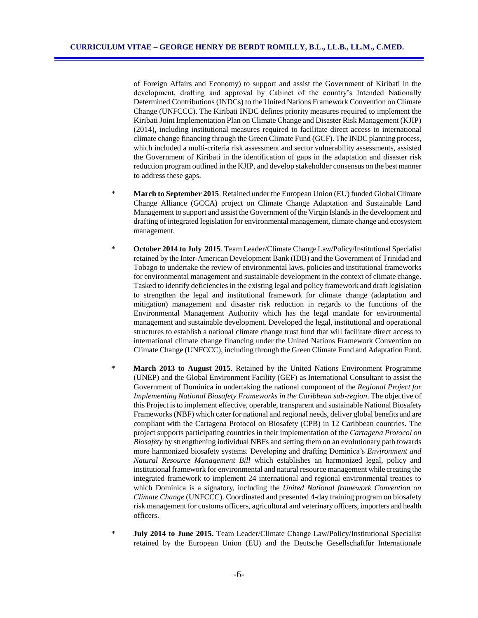of Foreign Affairs and Economy) to support and assist the Government of Kiribati in the development, drafting and approval by Cabinet of the country's Intended Nationally Determined Contributions (INDCs) to the United Nations Framework Convention on Climate Change (UNFCCC). The Kiribati INDC defines priority measures required to implement the Kiribati Joint Implementation Plan on Climate Change and Disaster Risk Management (KJIP) (2014), including institutional measures required to facilitate direct access to international climate change financing through the Green Climate Fund (GCF). The INDC planning process, which included a multi-criteria risk assessment and sector vulnerability assessments, assisted the Government of Kiribati in the identification of gaps in the adaptation and disaster risk reduction program outlined in the KJIP, and develop stakeholder consensus on the best manner to address these gaps.

- \* **March to September 2015**. Retained under the European Union (EU) funded Global Climate Change Alliance (GCCA) project on Climate Change Adaptation and Sustainable Land Management to support and assist the Government of the Virgin Islands in the development and drafting of integrated legislation for environmental management, climate change and ecosystem management.
- \* **October 2014 to July 2015**. Team Leader/Climate Change Law/Policy/Institutional Specialist retained by the Inter-American Development Bank (IDB) and the Government of Trinidad and Tobago to undertake the review of environmental laws, policies and institutional frameworks for environmental management and sustainable development in the context of climate change. Tasked to identify deficiencies in the existing legal and policy framework and draft legislation to strengthen the legal and institutional framework for climate change (adaptation and mitigation) management and disaster risk reduction in regards to the functions of the Environmental Management Authority which has the legal mandate for environmental management and sustainable development. Developed the legal, institutional and operational structures to establish a national climate change trust fund that will facilitate direct access to international climate change financing under the United Nations Framework Convention on Climate Change (UNFCCC), including through the Green Climate Fund and Adaptation Fund.
- \* **March 2013 to August 2015**. Retained by the United Nations Environment Programme (UNEP) and the Global Environment Facility (GEF) as International Consultant to assist the Government of Dominica in undertaking the national component of the *Regional Project for Implementing National Biosafety Frameworks in the Caribbean sub-region*. The objective of this Project is to implement effective, operable, transparent and sustainable National Biosafety Frameworks (NBF) which cater for national and regional needs, deliver global benefits and are compliant with the Cartagena Protocol on Biosafety (CPB) in 12 Caribbean countries. The project supports participating countries in their implementation of the *Cartagena Protocol on Biosafety* by strengthening individual NBFs and setting them on an evolutionary path towards more harmonized biosafety systems. Developing and drafting Dominica's *Environment and Natural Resource Management Bill* which establishes an harmonized legal, policy and institutional framework for environmental and natural resource management while creating the integrated framework to implement 24 international and regional environmental treaties to which Dominica is a signatory, including the *United National framework Convention on Climate Change* (UNFCCC). Coordinated and presented 4-day training program on biosafety risk management for customs officers, agricultural and veterinary officers, importers and health officers.
- **July 2014 to June 2015.** Team Leader/Climate Change Law/Policy/Institutional Specialist retained by the European Union (EU) and the Deutsche Gesellschaftfür Internationale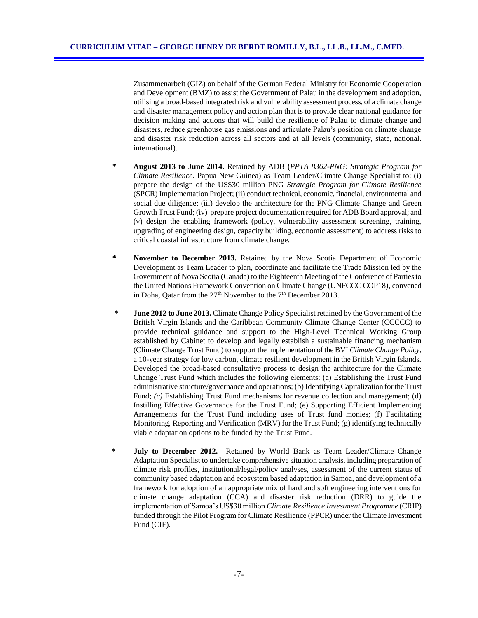Zusammenarbeit (GIZ) on behalf of the German Federal Ministry for Economic Cooperation and Development (BMZ) to assist the Government of Palau in the development and adoption, utilising a broad-based integrated risk and vulnerability assessment process, of a climate change and disaster management policy and action plan that is to provide clear national guidance for decision making and actions that will build the resilience of Palau to climate change and disasters, reduce greenhouse gas emissions and articulate Palau's position on climate change and disaster risk reduction across all sectors and at all levels (community, state, national. international).

- **\* August 2013 to June 2014.** Retained by ADB **(***PPTA 8362-PNG: Strategic Program for Climate Resilience.* Papua New Guinea) as Team Leader/Climate Change Specialist to: (i) prepare the design of the US\$30 million PNG *Strategic Program for Climate Resilience* (SPCR) Implementation Project; (ii) conduct technical, economic, financial, environmental and social due diligence; (iii) develop the architecture for the PNG Climate Change and Green Growth Trust Fund; (iv) prepare project documentation required for ADB Board approval; and (v) design the enabling framework (policy, vulnerability assessment screening, training, upgrading of engineering design, capacity building, economic assessment) to address risks to critical coastal infrastructure from climate change.
- **\* November to December 2013.** Retained by the Nova Scotia Department of Economic Development as Team Leader to plan, coordinate and facilitate the Trade Mission led by the Government of Nova Scotia (Canada**)** to the Eighteenth Meeting of the Conference of Parties to the United Nations Framework Convention on Climate Change (UNFCCC COP18), convened in Doha, Qatar from the  $27<sup>th</sup>$  November to the  $7<sup>th</sup>$  December 2013.
- **\* June 2012 to June 2013.** Climate Change Policy Specialist retained by the Government of the British Virgin Islands and the Caribbean Community Climate Change Center (CCCCC) to provide technical guidance and support to the High-Level Technical Working Group established by Cabinet to develop and legally establish a sustainable financing mechanism (Climate Change Trust Fund) to support the implementation of the BVI *Climate Change Policy,*  a 10-year strategy for low carbon, climate resilient development in the British Virgin Islands. Developed the broad-based consultative process to design the architecture for the Climate Change Trust Fund which includes the following elements: (a) Establishing the Trust Fund administrative structure/governance and operations; (b) Identifying Capitalization for the Trust Fund; *(c)* Establishing Trust Fund mechanisms for revenue collection and management; (d) Instilling Effective Governance for the Trust Fund; (e) Supporting Efficient Implementing Arrangements for the Trust Fund including uses of Trust fund monies; (f) Facilitating Monitoring, Reporting and Verification (MRV) for the Trust Fund; (g) identifying technically viable adaptation options to be funded by the Trust Fund.
- **\* July to December 2012.** Retained by World Bank as Team Leader/Climate Change Adaptation Specialist to undertake comprehensive situation analysis, including preparation of climate risk profiles, institutional/legal/policy analyses, assessment of the current status of community based adaptation and ecosystem based adaptation in Samoa, and development of a framework for adoption of an appropriate mix of hard and soft engineering interventions for climate change adaptation (CCA) and disaster risk reduction (DRR) to guide the implementation of Samoa's US\$30 million *Climate Resilience Investment Programme* (CRIP) funded through the Pilot Program for Climate Resilience (PPCR) under the Climate Investment Fund (CIF).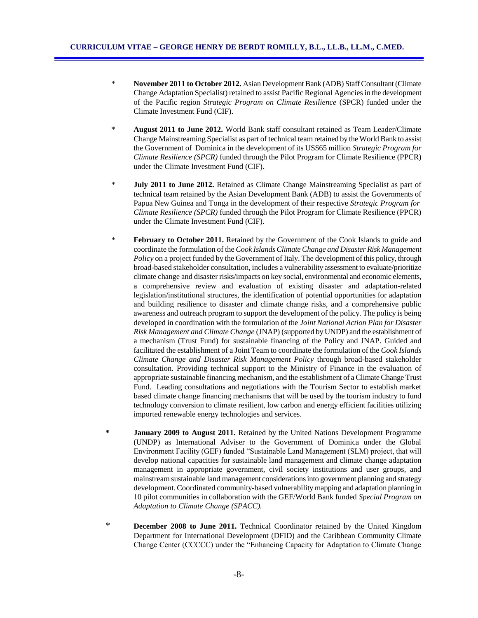- \* **November 2011 to October 2012.** Asian Development Bank (ADB) Staff Consultant (Climate Change Adaptation Specialist) retained to assist Pacific Regional Agencies in the development of the Pacific region *Strategic Program on Climate Resilience* (SPCR) funded under the Climate Investment Fund (CIF).
- \* **August 2011 to June 2012.** World Bank staff consultant retained as Team Leader/Climate Change Mainstreaming Specialist as part of technical team retained by the World Bank to assist the Government of Dominica in the development of its US\$65 million *Strategic Program for Climate Resilience (SPCR)* funded through the Pilot Program for Climate Resilience (PPCR) under the Climate Investment Fund (CIF).
- \* **July 2011 to June 2012.** Retained as Climate Change Mainstreaming Specialist as part of technical team retained by the Asian Development Bank (ADB) to assist the Governments of Papua New Guinea and Tonga in the development of their respective *Strategic Program for Climate Resilience (SPCR)* funded through the Pilot Program for Climate Resilience (PPCR) under the Climate Investment Fund (CIF).
- \* **February to October 2011.** Retained by the Government of the Cook Islands to guide and coordinate the formulation of the *Cook Islands Climate Change and Disaster Risk Management Policy* on a project funded by the Government of Italy. The development of this policy, through broad-based stakeholder consultation, includes a vulnerability assessment to evaluate/prioritize climate change and disaster risks/impacts on key social, environmental and economic elements, a comprehensive review and evaluation of existing disaster and adaptation-related legislation/institutional structures, the identification of potential opportunities for adaptation and building resilience to disaster and climate change risks, and a comprehensive public awareness and outreach program to support the development of the policy. The policy is being developed in coordination with the formulation of the *Joint National Action Plan for Disaster Risk Management and Climate Change* (JNAP) (supported by UNDP) and the establishment of a mechanism (Trust Fund) for sustainable financing of the Policy and JNAP. Guided and facilitated the establishment of a Joint Team to coordinate the formulation of the *Cook Islands Climate Change and Disaster Risk Management Policy* through broad-based stakeholder consultation. Providing technical support to the Ministry of Finance in the evaluation of appropriate sustainable financing mechanism, and the establishment of a Climate Change Trust Fund. Leading consultations and negotiations with the Tourism Sector to establish market based climate change financing mechanisms that will be used by the tourism industry to fund technology conversion to climate resilient, low carbon and energy efficient facilities utilizing imported renewable energy technologies and services.
- **\* January 2009 to August 2011.** Retained by the United Nations Development Programme (UNDP) as International Adviser to the Government of Dominica under the Global Environment Facility (GEF) funded "Sustainable Land Management (SLM) project, that will develop national capacities for sustainable land management and climate change adaptation management in appropriate government, civil society institutions and user groups, and mainstream sustainable land management considerations into government planning and strategy development.Coordinated community-based vulnerability mapping and adaptation planning in 10 pilot communities in collaboration with the GEF/World Bank funded *Special Program on Adaptation to Climate Change (SPACC).*
- \* **December 2008 to June 2011.** Technical Coordinator retained by the United Kingdom Department for International Development (DFID) and the Caribbean Community Climate Change Center (CCCCC) under the "Enhancing Capacity for Adaptation to Climate Change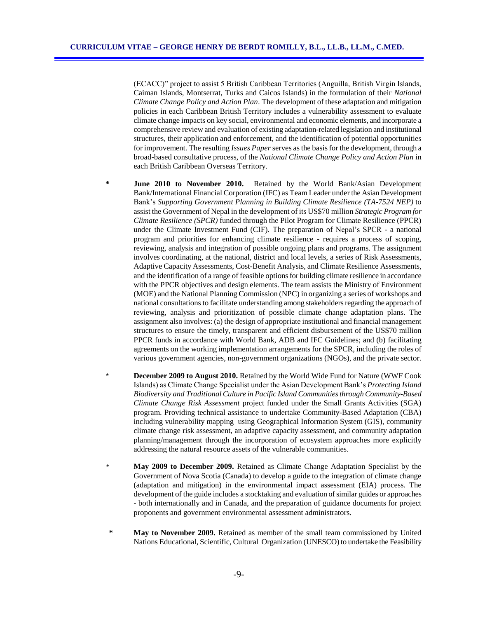(ECACC)" project to assist 5 British Caribbean Territories (Anguilla, British Virgin Islands, Caiman Islands, Montserrat, Turks and Caicos Islands) in the formulation of their *National Climate Change Policy and Action Plan*. The development of these adaptation and mitigation policies in each Caribbean British Territory includes a vulnerability assessment to evaluate climate change impacts on key social, environmental and economic elements, and incorporate a comprehensive review and evaluation of existing adaptation-related legislation and institutional structures, their application and enforcement, and the identification of potential opportunities for improvement. The resulting *Issues Paper* serves as the basis for the development, through a broad-based consultative process, of the *National Climate Change Policy and Action Plan* in each British Caribbean Overseas Territory.

- **\* June 2010 to November 2010.** Retained by the World Bank/Asian Development Bank/International Financial Corporation (IFC) as Team Leader under the Asian Development Bank's *Supporting Government Planning in Building Climate Resilience (TA-7524 NEP)* to assist the Government of Nepal in the development of its US\$70 million *Strategic Program for Climate Resilience (SPCR)* funded through the Pilot Program for Climate Resilience (PPCR) under the Climate Investment Fund (CIF). The preparation of Nepal's SPCR - a national program and priorities for enhancing climate resilience - requires a process of scoping, reviewing, analysis and integration of possible ongoing plans and programs. The assignment involves coordinating, at the national, district and local levels, a series of Risk Assessments, Adaptive Capacity Assessments, Cost-Benefit Analysis, and Climate Resilience Assessments, and the identification of a range of feasible options for building climate resilience in accordance with the PPCR objectives and design elements. The team assists the Ministry of Environment (MOE) and the National Planning Commission (NPC) in organizing a series of workshops and national consultations to facilitate understanding among stakeholders regarding the approach of reviewing, analysis and prioritization of possible climate change adaptation plans. The assignment also involves: (a) the design of appropriate institutional and financial management structures to ensure the timely, transparent and efficient disbursement of the US\$70 million PPCR funds in accordance with World Bank, ADB and IFC Guidelines; and (b) facilitating agreements on the working implementation arrangements for the SPCR, including the roles of various government agencies, non-government organizations (NGOs), and the private sector.
	- **December 2009 to August 2010.** Retained by the World Wide Fund for Nature (WWF Cook Islands) as Climate Change Specialist under the Asian Development Bank's *Protecting Island Biodiversity and Traditional Culture in Pacific Island Communities through Community-Based Climate Change Risk Assessment* project funded under the Small Grants Activities (SGA) program. Providing technical assistance to undertake Community-Based Adaptation (CBA) including vulnerability mapping using Geographical Information System (GIS), community climate change risk assessment, an adaptive capacity assessment, and community adaptation planning/management through the incorporation of ecosystem approaches more explicitly addressing the natural resource assets of the vulnerable communities.
- \* **May 2009 to December 2009.** Retained as Climate Change Adaptation Specialist by the Government of Nova Scotia (Canada) to develop a guide to the integration of climate change (adaptation and mitigation) in the environmental impact assessment (EIA) process. The development of the guide includes a stocktaking and evaluation of similar guides or approaches - both internationally and in Canada, and the preparation of guidance documents for project proponents and government environmental assessment administrators.
- **\* May to November 2009.** Retained as member of the small team commissioned by United Nations Educational, Scientific, Cultural Organization (UNESCO) to undertake the Feasibility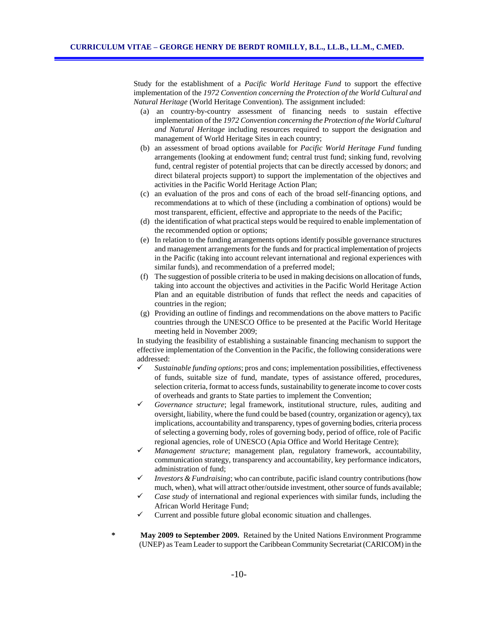Study for the establishment of a *Pacific World Heritage Fund* to support the effective implementation of the *1972 Convention concerning the Protection of the World Cultural and Natural Heritage* (World Heritage Convention). The assignment included:

- (a) an country-by-country assessment of financing needs to sustain effective implementation of the *1972 Convention concerning the Protection of the World Cultural and Natural Heritage* including resources required to support the designation and management of World Heritage Sites in each country;
- (b) an assessment of broad options available for *Pacific World Heritage Fund* funding arrangements (looking at endowment fund; central trust fund; sinking fund, revolving fund, central register of potential projects that can be directly accessed by donors; and direct bilateral projects support) to support the implementation of the objectives and activities in the Pacific World Heritage Action Plan;
- (c) an evaluation of the pros and cons of each of the broad self-financing options, and recommendations at to which of these (including a combination of options) would be most transparent, efficient, effective and appropriate to the needs of the Pacific;
- (d) the identification of what practical steps would be required to enable implementation of the recommended option or options;
- (e) In relation to the funding arrangements options identify possible governance structures and management arrangements for the funds and for practical implementation of projects in the Pacific (taking into account relevant international and regional experiences with similar funds), and recommendation of a preferred model;
- (f) The suggestion of possible criteria to be used in making decisions on allocation of funds, taking into account the objectives and activities in the Pacific World Heritage Action Plan and an equitable distribution of funds that reflect the needs and capacities of countries in the region;
- (g) Providing an outline of findings and recommendations on the above matters to Pacific countries through the UNESCO Office to be presented at the Pacific World Heritage meeting held in November 2009;

In studying the feasibility of establishing a sustainable financing mechanism to support the effective implementation of the Convention in the Pacific, the following considerations were addressed:

- *Sustainable funding options*; pros and cons; implementation possibilities, effectiveness of funds, suitable size of fund, mandate, types of assistance offered, procedures, selection criteria, format to access funds, sustainability to generate income to cover costs of overheads and grants to State parties to implement the Convention;
- *Governance structure*; legal framework, institutional structure, rules, auditing and oversight, liability, where the fund could be based (country, organization or agency), tax implications, accountability and transparency, types of governing bodies, criteria process of selecting a governing body, roles of governing body, period of office, role of Pacific regional agencies, role of UNESCO (Apia Office and World Heritage Centre);
- *Management structure*; management plan, regulatory framework, accountability, communication strategy, transparency and accountability, key performance indicators, administration of fund;
- *Investors & Fundraising*; who can contribute, pacific island country contributions (how much, when), what will attract other/outside investment, other source of funds available;
- *Case study* of international and regional experiences with similar funds, including the African World Heritage Fund;
- Current and possible future global economic situation and challenges.
- **\* May 2009 to September 2009.** Retained by the United Nations Environment Programme (UNEP) as Team Leader to support the Caribbean Community Secretariat (CARICOM) in the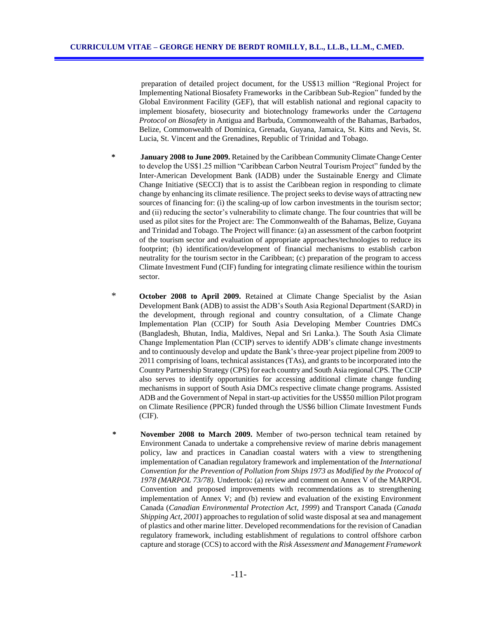preparation of detailed project document, for the US\$13 million "Regional Project for Implementing National Biosafety Frameworks in the Caribbean Sub-Region" funded by the Global Environment Facility (GEF), that will establish national and regional capacity to implement biosafety, biosecurity and biotechnology frameworks under the *Cartagena Protocol on Biosafety* in Antigua and Barbuda, Commonwealth of the Bahamas, Barbados, Belize, Commonwealth of Dominica, Grenada, Guyana, Jamaica, St. Kitts and Nevis, St. Lucia, St. Vincent and the Grenadines, Republic of Trinidad and Tobago.

- **\* January 2008 to June 2009.** Retained by the Caribbean Community Climate Change Center to develop the US\$1.25 million "Caribbean Carbon Neutral Tourism Project" funded by the Inter-American Development Bank (IADB) under the Sustainable Energy and Climate Change Initiative (SECCI) that is to assist the Caribbean region in responding to climate change by enhancing its climate resilience. The project seeks to devise ways of attracting new sources of financing for: (i) the scaling-up of low carbon investments in the tourism sector; and (ii) reducing the sector's vulnerability to climate change. The four countries that will be used as pilot sites for the Project are: The Commonwealth of the Bahamas, Belize, Guyana and Trinidad and Tobago. The Project will finance: (a) an assessment of the carbon footprint of the tourism sector and evaluation of appropriate approaches/technologies to reduce its footprint; (b) identification/development of financial mechanisms to establish carbon neutrality for the tourism sector in the Caribbean; (c) preparation of the program to access Climate Investment Fund (CIF) funding for integrating climate resilience within the tourism sector.
- \* **October 2008 to April 2009.** Retained at Climate Change Specialist by the Asian Development Bank (ADB) to assist the ADB's South Asia Regional Department (SARD) in the development, through regional and country consultation, of a Climate Change Implementation Plan (CCIP) for South Asia Developing Member Countries DMCs (Bangladesh, Bhutan, India, Maldives, Nepal and Sri Lanka.). The South Asia Climate Change Implementation Plan (CCIP) serves to identify ADB's climate change investments and to continuously develop and update the Bank's three-year project pipeline from 2009 to 2011 comprising of loans, technical assistances (TAs), and grants to be incorporated into the Country Partnership Strategy (CPS) for each country and South Asia regional CPS. The CCIP also serves to identify opportunities for accessing additional climate change funding mechanisms in support of South Asia DMCs respective climate change programs. Assisted ADB and the Government of Nepal in start-up activities for the US\$50 million Pilot program on Climate Resilience (PPCR) funded through the US\$6 billion Climate Investment Funds (CIF).
- **\* November 2008 to March 2009.** Member of two-person technical team retained by Environment Canada to undertake a comprehensive review of marine debris management policy, law and practices in Canadian coastal waters with a view to strengthening implementation of Canadian regulatory framework and implementation of the *International Convention for the Prevention of Pollution from Ships 1973 as Modified by the Protocol of 1978 (MARPOL 73/78).* Undertook: (a) review and comment on Annex V of the MARPOL Convention and proposed improvements with recommendations as to strengthening implementation of Annex V; and (b) review and evaluation of the existing Environment Canada (*Canadian Environmental Protection Act, 1999*) and Transport Canada (*Canada Shipping Act, 2001*) approaches to regulation of solid waste disposal at sea and management of plastics and other marine litter. Developed recommendations for the revision of Canadian regulatory framework, including establishment of regulations to control offshore carbon capture and storage (CCS) to accord with the *Risk Assessment and Management Framework*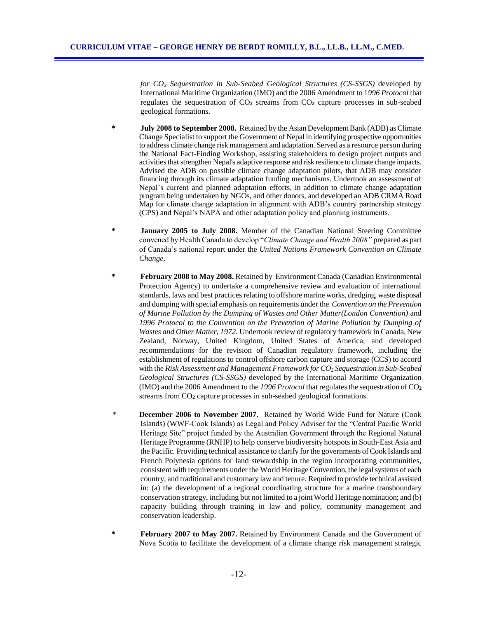*for CO<sup>2</sup> Sequestration in Sub-Seabed Geological Structures (CS-SSGS)* developed by International Maritime Organization (IMO) and the 2006 Amendment to 1*996 Protocol* that regulates the sequestration of CO**<sup>2</sup>** streams from CO**<sup>2</sup>** capture processes in sub-seabed geological formations.

- **\* July 2008 to September 2008.** Retained by the Asian Development Bank (ADB) as Climate Change Specialist to support the Government of Nepal in identifying prospective opportunities to address climate change risk management and adaptation. Served as a resource person during the National Fact-Finding Workshop, assisting stakeholders to design project outputs and activities that strengthen Nepal's adaptive response and risk resilience to climate change impacts. Advised the ADB on possible climate change adaptation pilots, that ADB may consider financing through its climate adaptation funding mechanisms. Undertook an assessment of Nepal's current and planned adaptation efforts, in addition to climate change adaptation program being undertaken by NGOs, and other donors, and developed an ADB CRMA Road Map for climate change adaptation in alignment with ADB's country partnership strategy (CPS) and Nepal's NAPA and other adaptation policy and planning instruments.
- **\* January 2005 to July 2008.** Member of the Canadian National Steering Committee convened by Health Canada to develop "*Climate Change and Health 2008"* prepared as part of Canada's national report under the *United Nations Framework Convention on Climate Change.*
- **\* February 2008 to May 2008.** Retained by Environment Canada (Canadian Environmental Protection Agency) to undertake a comprehensive review and evaluation of international standards, laws and best practices relating to offshore marine works, dredging, waste disposal and dumping with special emphasis on requirements under the *Convention on the Prevention of Marine Pollution by the Dumping of Wastes and Other Matter(London Convention)* and *1996 Protocol to the Convention on the Prevention of Marine Pollution by Dumping of Wastes and Other Matter, 1972.* Undertook review of regulatory framework in Canada, New Zealand, Norway, United Kingdom, United States of America, and developed recommendations for the revision of Canadian regulatory framework, including the establishment of regulations to control offshore carbon capture and storage (CCS) to accord with the *Risk Assessment and Management Framework for CO<sup>2</sup> Sequestration in Sub-Seabed Geological Structures (CS-SSGS)* developed by the International Maritime Organization (IMO) and the 2006 Amendment to the *1996 Protocol* that regulates the sequestration of CO**<sup>2</sup>** streams from CO**<sup>2</sup>** capture processes in sub-seabed geological formations.
- \* **December 2006 to November 2007.** Retained by World Wide Fund for Nature (Cook Islands) (WWF-Cook Islands) as Legal and Policy Adviser for the "Central Pacific World Heritage Site" project funded by the Australian Government through the Regional Natural Heritage Programme (RNHP) to help conserve biodiversity hotspots in South-East Asia and the Pacific. Providing technical assistance to clarify for the governments of Cook Islands and French Polynesia options for land stewardship in the region incorporating communities, consistent with requirements under the World Heritage Convention, the legal systems of each country, and traditional and customary law and tenure. Required to provide technical assisted in: (a) the development of a regional coordinating structure for a marine transboundary conservation strategy, including but not limited to a joint World Heritage nomination; and (b) capacity building through training in law and policy, community management and conservation leadership.
- **\* February 2007 to May 2007.** Retained by Environment Canada and the Government of Nova Scotia to facilitate the development of a climate change risk management strategic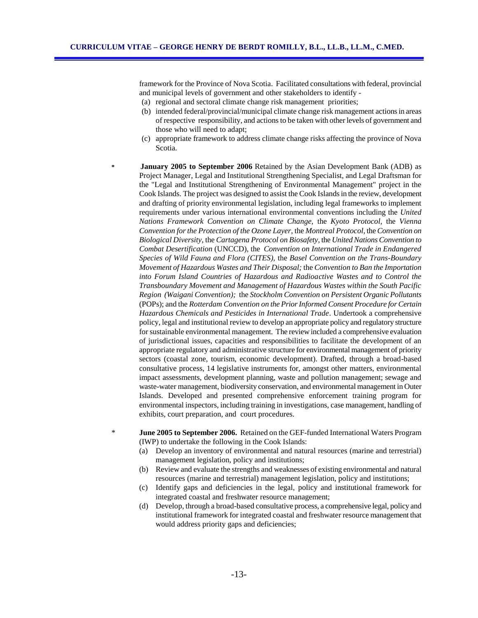framework for the Province of Nova Scotia. Facilitated consultations with federal, provincial and municipal levels of government and other stakeholders to identify -

- (a) regional and sectoral climate change risk management priorities;
- (b) intended federal/provincial/municipal climate change risk management actions in areas of respective responsibility, and actions to be taken with other levels of government and those who will need to adapt;
- (c) appropriate framework to address climate change risks affecting the province of Nova Scotia.
- **January 2005 to September 2006** Retained by the Asian Development Bank (ADB) as Project Manager, Legal and Institutional Strengthening Specialist, and Legal Draftsman for the "Legal and Institutional Strengthening of Environmental Management" project in the Cook Islands. The project was designed to assist the Cook Islands in the review, development and drafting of priority environmental legislation, including legal frameworks to implement requirements under various international environmental conventions including the *United Nations Framework Convention on Climate Change,* the *Kyoto Protocol,* the *Vienna Convention for the Protection of the Ozone Layer*, the *Montreal Protocol*, the *Convention on Biological Diversity*, the *Cartagena Protocol on Biosafety,* the *United Nations Convention to Combat Desertification* (UNCCD), the *Convention on International Trade in Endangered Species of Wild Fauna and Flora (CITES),* the *Basel Convention on the Trans-Boundary Movement of Hazardous Wastes and Their Disposal;* the *Convention to Ban the Importation into Forum Island Countries of Hazardous and Radioactive Wastes and to Control the Transboundary Movement and Management of Hazardous Wastes within the South Pacific Region (Waigani Convention);* the *Stockholm Convention on Persistent Organic Pollutants* (POPs); and the *Rotterdam Convention on the Prior Informed Consent Procedure for Certain Hazardous Chemicals and Pesticides in International Trade*. Undertook a comprehensive policy, legal and institutional review to develop an appropriate policy and regulatory structure for sustainable environmental management. The review included a comprehensive evaluation of jurisdictional issues, capacities and responsibilities to facilitate the development of an appropriate regulatory and administrative structure for environmental management of priority sectors (coastal zone, tourism, economic development). Drafted, through a broad-based consultative process, 14 legislative instruments for, amongst other matters, environmental impact assessments, development planning, waste and pollution management; sewage and waste-water management, biodiversity conservation, and environmental management in Outer Islands. Developed and presented comprehensive enforcement training program for environmental inspectors, including training in investigations, case management, handling of exhibits, court preparation, and court procedures.
- \* **June 2005 to September 2006.** Retained on the GEF-funded International Waters Program (IWP) to undertake the following in the Cook Islands:
	- (a) Develop an inventory of environmental and natural resources (marine and terrestrial) management legislation, policy and institutions;
	- (b) Review and evaluate the strengths and weaknesses of existing environmental and natural resources (marine and terrestrial) management legislation, policy and institutions;
	- (c) Identify gaps and deficiencies in the legal, policy and institutional framework for integrated coastal and freshwater resource management;
	- (d) Develop, through a broad-based consultative process, a comprehensive legal, policy and institutional framework for integrated coastal and freshwater resource management that would address priority gaps and deficiencies;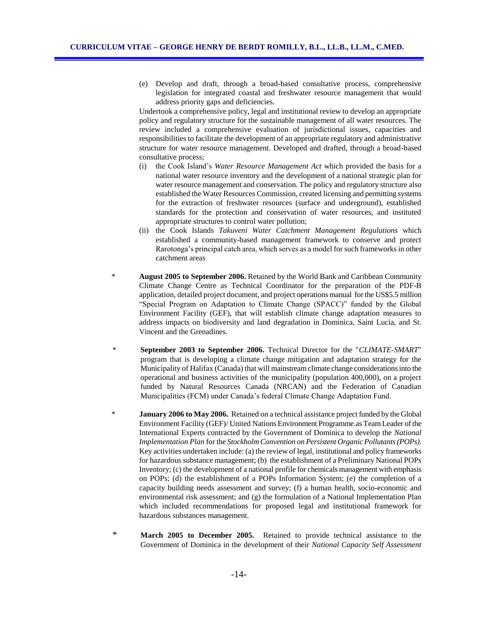(e) Develop and draft, through a broad-based consultative process, comprehensive legislation for integrated coastal and freshwater resource management that would address priority gaps and deficiencies.

Undertook a comprehensive policy, legal and institutional review to develop an appropriate policy and regulatory structure for the sustainable management of all water resources. The review included a comprehensive evaluation of jurisdictional issues, capacities and responsibilities to facilitate the development of an appropriate regulatory and administrative structure for water resource management. Developed and drafted, through a broad-based consultative process;

- (i) the Cook Island's *Water Resource Management Act* which provided the basis for a national water resource inventory and the development of a national strategic plan for water resource management and conservation. The policy and regulatory structure also established the Water Resources Commission, created licensing and permitting systems for the extraction of freshwater resources (surface and underground), established standards for the protection and conservation of water resources, and instituted appropriate structures to control water pollution;
- (ii) the Cook Islands *Takuveni Water Catchment Management Regulations* which established a community-based management framework to conserve and protect Rarotonga's principal catch area, which serves as a model for such frameworks in other catchment areas
- \* **August 2005 to September 2006.** Retained by the World Bank and Caribbean Community Climate Change Centre as Technical Coordinator for the preparation of the PDF-B application, detailed project document, and project operations manual for the US\$5.5 million "Special Program on Adaptation to Climate Change (SPACC)" funded by the Global Environment Facility (GEF), that will establish climate change adaptation measures to address impacts on biodiversity and land degradation in Dominica, Saint Lucia, and St. Vincent and the Grenadines.
- \* **September 2003 to September 2006.** Technical Director for the "*CLIMATE-SMART*" program that is developing a climate change mitigation and adaptation strategy for the Municipality of Halifax (Canada) that will mainstream climate change considerations into the operational and business activities of the municipality (population 400,000), on a project funded by Natural Resources Canada (NRCAN) and the Federation of Canadian Municipalities (FCM) under Canada's federal Climate Change Adaptation Fund.
- **January 2006 to May 2006.** Retained on a technical assistance project funded by the Global Environment Facility (GEF)/ United Nations Environment Programme.as Team Leader of the International Experts contracted by the Government of Dominica to develop the *National Implementation Plan* for the *Stockholm Convention on Persistent Organic Pollutants (POPs)*. Key activities undertaken include: (a) the review of legal, institutional and policy frameworks for hazardous substance management; (b) the establishment of a Preliminary National POPs Inventory; (c) the development of a national profile for chemicals management with emphasis on POPs; (d) the establishment of a POPs Information System; (e) the completion of a capacity building needs assessment and survey; (f) a human health, socio-economic and environmental risk assessment; and (g) the formulation of a National Implementation Plan which included recommendations for proposed legal and institutional framework for hazardous substances management.
- \* **March 2005 to December 2005.** Retained to provide technical assistance to the Government of Dominica in the development of their *National Capacity Self Assessment*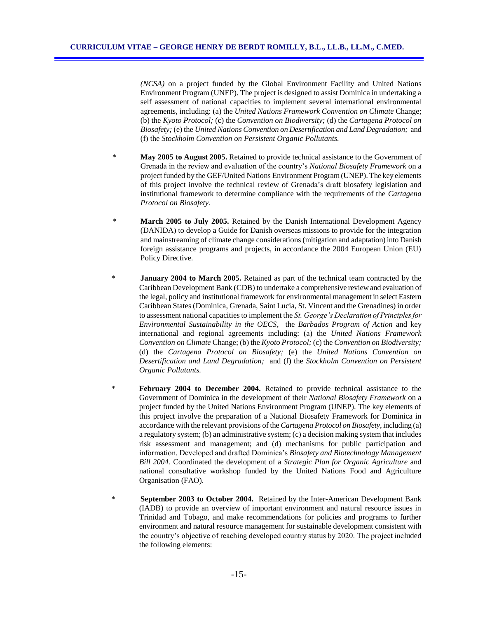*(NCSA)* on a project funded by the Global Environment Facility and United Nations Environment Program (UNEP). The project is designed to assist Dominica in undertaking a self assessment of national capacities to implement several international environmental agreements, including: (a) the *United Nations Framework Convention on Climate* Change; (b) the *Kyoto Protocol;* (c) the *Convention on Biodiversity;* (d) the *Cartagena Protocol on Biosafety;* (e) the *United Nations Convention on Desertification and Land Degradation;* and (f) the *Stockholm Convention on Persistent Organic Pollutants.*

- \* **May 2005 to August 2005.** Retained to provide technical assistance to the Government of Grenada in the review and evaluation of the country's *National Biosafety Framework* on a project funded by the GEF/United Nations Environment Program (UNEP). The key elements of this project involve the technical review of Grenada's draft biosafety legislation and institutional framework to determine compliance with the requirements of the *Cartagena Protocol on Biosafety.*
- \* **March 2005 to July 2005.** Retained by the Danish International Development Agency (DANIDA) to develop a Guide for Danish overseas missions to provide for the integration and mainstreaming of climate change considerations (mitigation and adaptation) into Danish foreign assistance programs and projects, in accordance the 2004 European Union (EU) Policy Directive.
- **January 2004 to March 2005.** Retained as part of the technical team contracted by the Caribbean Development Bank (CDB) to undertake a comprehensive review and evaluation of the legal, policy and institutional framework for environmental management in select Eastern Caribbean States (Dominica, Grenada, Saint Lucia, St. Vincent and the Grenadines) in order to assessment national capacities to implement the *St. George's Declaration of Principles for Environmental Sustainability in the OECS,* the *Barbados Program of Action* and key international and regional agreements including: (a) the *United Nations Framework Convention on Climate* Change; (b) the *Kyoto Protocol;* (c) the *Convention on Biodiversity;*  (d) the *Cartagena Protocol on Biosafety;* (e) the *United Nations Convention on Desertification and Land Degradation;* and (f) the *Stockholm Convention on Persistent Organic Pollutants.*
- \* **February 2004 to December 2004.** Retained to provide technical assistance to the Government of Dominica in the development of their *National Biosafety Framework* on a project funded by the United Nations Environment Program (UNEP). The key elements of this project involve the preparation of a National Biosafety Framework for Dominica in accordance with the relevant provisions of the *Cartagena Protocol on Biosafety*, including (a) a regulatory system; (b) an administrative system; (c) a decision making system that includes risk assessment and management; and (d) mechanisms for public participation and information. Developed and drafted Dominica's *Biosafety and Biotechnology Management Bill 2004.* Coordinated the development of a *Strategic Plan for Organic Agriculture* and national consultative workshop funded by the United Nations Food and Agriculture Organisation (FAO).
- \* **September 2003 to October 2004.** Retained by the Inter-American Development Bank (IADB) to provide an overview of important environment and natural resource issues in Trinidad and Tobago, and make recommendations for policies and programs to further environment and natural resource management for sustainable development consistent with the country's objective of reaching developed country status by 2020. The project included the following elements: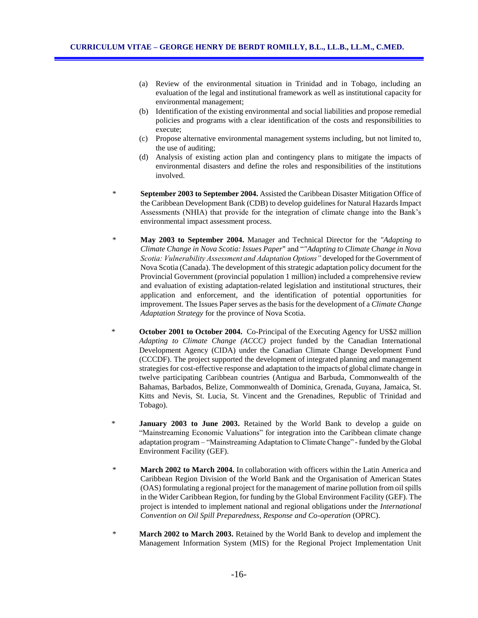- (a) Review of the environmental situation in Trinidad and in Tobago, including an evaluation of the legal and institutional framework as well as institutional capacity for environmental management;
- (b) Identification of the existing environmental and social liabilities and propose remedial policies and programs with a clear identification of the costs and responsibilities to execute;
- (c) Propose alternative environmental management systems including, but not limited to, the use of auditing;
- (d) Analysis of existing action plan and contingency plans to mitigate the impacts of environmental disasters and define the roles and responsibilities of the institutions involved.
- \* **September 2003 to September 2004.** Assisted the Caribbean Disaster Mitigation Office of the Caribbean Development Bank (CDB) to develop guidelines for Natural Hazards Impact Assessments (NHIA) that provide for the integration of climate change into the Bank's environmental impact assessment process.
- \* **May 2003 to September 2004.** Manager and Technical Director for the *"Adapting to Climate Change in Nova Scotia: Issues Paper*" and "*"Adapting to Climate Change in Nova Scotia: Vulnerability Assessment and Adaptation Options"* developed for the Government of Nova Scotia (Canada). The development of this strategic adaptation policy document for the Provincial Government (provincial population 1 million) included a comprehensive review and evaluation of existing adaptation-related legislation and institutional structures, their application and enforcement, and the identification of potential opportunities for improvement. The Issues Paper serves as the basis for the development of a *Climate Change Adaptation Strategy* for the province of Nova Scotia.
- \* **October 2001 to October 2004.** Co-Principal of the Executing Agency for US\$2 million *Adapting to Climate Change (ACCC)* project funded by the Canadian International Development Agency (CIDA) under the Canadian Climate Change Development Fund (CCCDF). The project supported the development of integrated planning and management strategies for cost-effective response and adaptation to the impacts of global climate change in twelve participating Caribbean countries (Antigua and Barbuda, Commonwealth of the Bahamas, Barbados, Belize, Commonwealth of Dominica, Grenada, Guyana, Jamaica, St. Kitts and Nevis, St. Lucia, St. Vincent and the Grenadines, Republic of Trinidad and Tobago).
- January 2003 to June 2003. Retained by the World Bank to develop a guide on "Mainstreaming Economic Valuations" for integration into the Caribbean climate change adaptation program – "Mainstreaming Adaptation to Climate Change" - funded by the Global Environment Facility (GEF).
- \* **March 2002 to March 2004.** In collaboration with officers within the Latin America and Caribbean Region Division of the World Bank and the Organisation of American States (OAS) formulating a regional project for the management of marine pollution from oil spills in the Wider Caribbean Region, for funding by the Global Environment Facility (GEF). The project is intended to implement national and regional obligations under the *International Convention on Oil Spill Preparedness, Response and Co-operation* (OPRC).
- \* **March 2002 to March 2003.** Retained by the World Bank to develop and implement the Management Information System (MIS) for the Regional Project Implementation Unit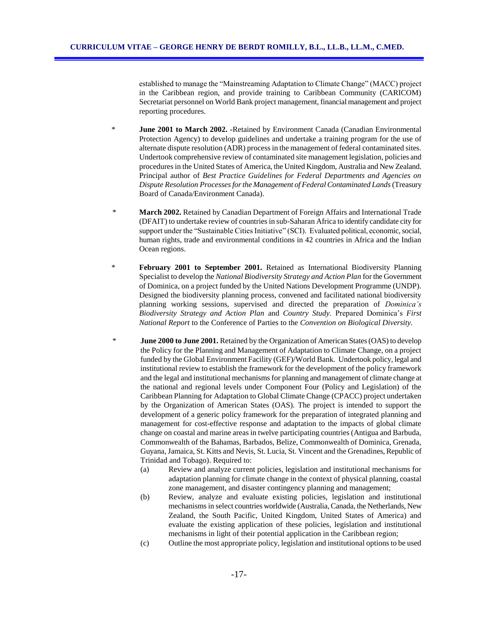established to manage the "Mainstreaming Adaptation to Climate Change" (MACC) project in the Caribbean region, and provide training to Caribbean Community (CARICOM) Secretariat personnel on World Bank project management, financial management and project reporting procedures.

- \* **June 2001 to March 2002. -**Retained by Environment Canada (Canadian Environmental Protection Agency) to develop guidelines and undertake a training program for the use of alternate dispute resolution (ADR) process in the management of federal contaminated sites. Undertook comprehensive review of contaminated site management legislation, policies and procedures in the United States of America, the United Kingdom, Australia and New Zealand. Principal author of *Best Practice Guidelines for Federal Departments and Agencies on Dispute Resolution Processes for the Management of Federal Contaminated Lands*(Treasury Board of Canada/Environment Canada).
- \* **March 2002.** Retained by Canadian Department of Foreign Affairs and International Trade (DFAIT) to undertake review of countries in sub-Saharan Africa to identify candidate city for support under the "Sustainable Cities Initiative" (SCI). Evaluated political, economic, social, human rights, trade and environmental conditions in 42 countries in Africa and the Indian Ocean regions.
- **February 2001 to September 2001.** Retained as International Biodiversity Planning Specialist to develop the *National Biodiversity Strategy and Action Plan* for the Government of Dominica, on a project funded by the United Nations Development Programme (UNDP). Designed the biodiversity planning process, convened and facilitated national biodiversity planning working sessions, supervised and directed the preparation of *Dominica's Biodiversity Strategy and Action Plan* and *Country Study.* Prepared Dominica's *First National Report* to the Conference of Parties to the *Convention on Biological Diversity.*
- **June 2000 to June 2001.** Retained by the Organization of American States (OAS) to develop the Policy for the Planning and Management of Adaptation to Climate Change, on a project funded by the Global Environment Facility (GEF)/World Bank. Undertook policy, legal and institutional review to establish the framework for the development of the policy framework and the legal and institutional mechanisms for planning and management of climate change at the national and regional levels under Component Four (Policy and Legislation) of the Caribbean Planning for Adaptation to Global Climate Change (CPACC) project undertaken by the Organization of American States (OAS). The project is intended to support the development of a generic policy framework for the preparation of integrated planning and management for cost-effective response and adaptation to the impacts of global climate change on coastal and marine areas in twelve participating countries (Antigua and Barbuda, Commonwealth of the Bahamas, Barbados, Belize, Commonwealth of Dominica, Grenada, Guyana, Jamaica, St. Kitts and Nevis, St. Lucia, St. Vincent and the Grenadines, Republic of Trinidad and Tobago). Required to:
	- (a) Review and analyze current policies, legislation and institutional mechanisms for adaptation planning for climate change in the context of physical planning, coastal zone management, and disaster contingency planning and management;
	- (b) Review, analyze and evaluate existing policies, legislation and institutional mechanisms in select countries worldwide (Australia, Canada, the Netherlands, New Zealand, the South Pacific, United Kingdom, United States of America) and evaluate the existing application of these policies, legislation and institutional mechanisms in light of their potential application in the Caribbean region;
	- (c) Outline the most appropriate policy, legislation and institutional options to be used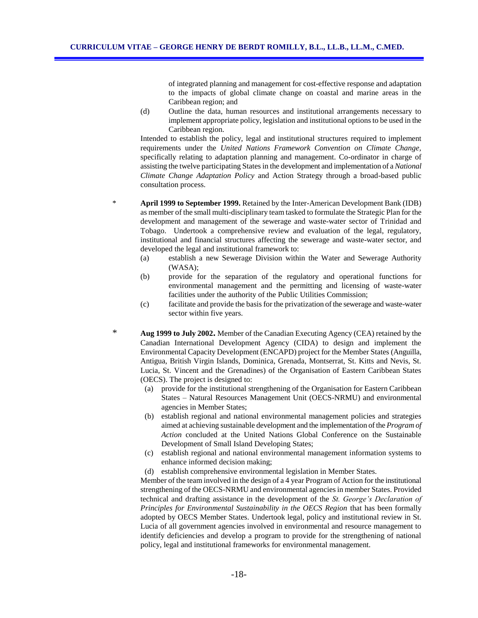of integrated planning and management for cost-effective response and adaptation to the impacts of global climate change on coastal and marine areas in the Caribbean region; and

(d) Outline the data, human resources and institutional arrangements necessary to implement appropriate policy, legislation and institutional options to be used in the Caribbean region.

Intended to establish the policy, legal and institutional structures required to implement requirements under the *United Nations Framework Convention on Climate Change,* specifically relating to adaptation planning and management. Co-ordinator in charge of assisting the twelve participating States in the development and implementation of a *National Climate Change Adaptation Policy* and Action Strategy through a broad-based public consultation process.

- \* **April 1999 to September 1999.** Retained by the Inter-American Development Bank (IDB) as member of the small multi-disciplinary team tasked to formulate the Strategic Plan for the development and management of the sewerage and waste-water sector of Trinidad and Tobago. Undertook a comprehensive review and evaluation of the legal, regulatory, institutional and financial structures affecting the sewerage and waste-water sector, and developed the legal and institutional framework to:
	- (a) establish a new Sewerage Division within the Water and Sewerage Authority (WASA);
	- (b) provide for the separation of the regulatory and operational functions for environmental management and the permitting and licensing of waste-water facilities under the authority of the Public Utilities Commission;
	- (c) facilitate and provide the basis for the privatization of the sewerage and waste-water sector within five years.
	- \* **Aug 1999 to July 2002.** Member of the Canadian Executing Agency (CEA) retained by the Canadian International Development Agency (CIDA) to design and implement the Environmental Capacity Development (ENCAPD) project for the Member States (Anguilla, Antigua, British Virgin Islands, Dominica, Grenada, Montserrat, St. Kitts and Nevis, St. Lucia, St. Vincent and the Grenadines) of the Organisation of Eastern Caribbean States (OECS). The project is designed to:
		- (a) provide for the institutional strengthening of the Organisation for Eastern Caribbean States – Natural Resources Management Unit (OECS-NRMU) and environmental agencies in Member States;
		- (b) establish regional and national environmental management policies and strategies aimed at achieving sustainable development and the implementation of the *Program of Action* concluded at the United Nations Global Conference on the Sustainable Development of Small Island Developing States;
		- (c) establish regional and national environmental management information systems to enhance informed decision making;
		- (d) establish comprehensive environmental legislation in Member States.

Member of the team involved in the design of a 4 year Program of Action for the institutional strengthening of the OECS-NRMU and environmental agencies in member States. Provided technical and drafting assistance in the development of the *St. George's Declaration of Principles for Environmental Sustainability in the OECS Region that has been formally* adopted by OECS Member States. Undertook legal, policy and institutional review in St. Lucia of all government agencies involved in environmental and resource management to identify deficiencies and develop a program to provide for the strengthening of national policy, legal and institutional frameworks for environmental management.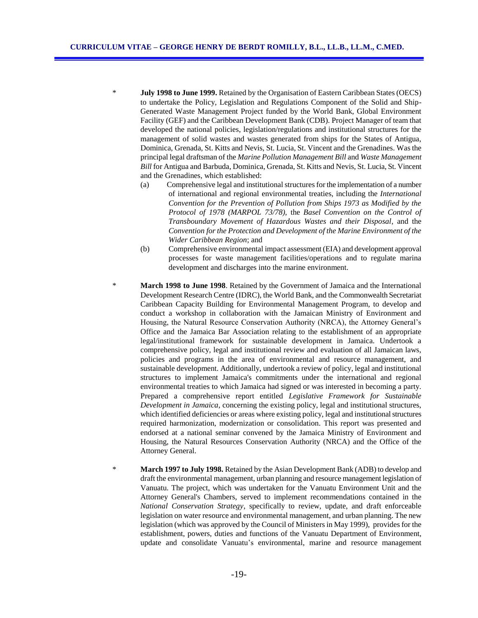- \* **July 1998 to June 1999.** Retained by the Organisation of Eastern Caribbean States (OECS) to undertake the Policy, Legislation and Regulations Component of the Solid and Ship-Generated Waste Management Project funded by the World Bank, Global Environment Facility (GEF) and the Caribbean Development Bank (CDB). Project Manager of team that developed the national policies, legislation/regulations and institutional structures for the management of solid wastes and wastes generated from ships for the States of Antigua, Dominica, Grenada, St. Kitts and Nevis, St. Lucia, St. Vincent and the Grenadines. Was the principal legal draftsman of the *Marine Pollution Management Bill* and *Waste Management Bill* for Antigua and Barbuda, Dominica, Grenada, St. Kitts and Nevis, St. Lucia, St. Vincent and the Grenadines, which established:
	- (a) Comprehensive legal and institutional structures for the implementation of a number of international and regional environmental treaties, including the *International Convention for the Prevention of Pollution from Ships 1973 as Modified by the Protocol of 1978 (MARPOL 73/78),* the *Basel Convention on the Control of Transboundary Movement of Hazardous Wastes and their Disposal*, and the *Convention for the Protection and Development of the Marine Environment of the Wider Caribbean Region*; and
	- (b) Comprehensive environmental impact assessment (EIA) and development approval processes for waste management facilities/operations and to regulate marina development and discharges into the marine environment.
	- **March 1998 to June 1998.** Retained by the Government of Jamaica and the International Development Research Centre (IDRC), the World Bank, and the Commonwealth Secretariat Caribbean Capacity Building for Environmental Management Program, to develop and conduct a workshop in collaboration with the Jamaican Ministry of Environment and Housing, the Natural Resource Conservation Authority (NRCA), the Attorney General's Office and the Jamaica Bar Association relating to the establishment of an appropriate legal/institutional framework for sustainable development in Jamaica. Undertook a comprehensive policy, legal and institutional review and evaluation of all Jamaican laws, policies and programs in the area of environmental and resource management, and sustainable development. Additionally, undertook a review of policy, legal and institutional structures to implement Jamaica's commitments under the international and regional environmental treaties to which Jamaica had signed or was interested in becoming a party. Prepared a comprehensive report entitled *Legislative Framework for Sustainable Development in Jamaica*, concerning the existing policy, legal and institutional structures, which identified deficiencies or areas where existing policy, legal and institutional structures required harmonization, modernization or consolidation. This report was presented and endorsed at a national seminar convened by the Jamaica Ministry of Environment and Housing, the Natural Resources Conservation Authority (NRCA) and the Office of the Attorney General.
- \* **March 1997 to July 1998.** Retained by the Asian Development Bank (ADB) to develop and draft the environmental management, urban planning and resource management legislation of Vanuatu. The project, which was undertaken for the Vanuatu Environment Unit and the Attorney General's Chambers, served to implement recommendations contained in the *National Conservation Strategy*, specifically to review, update, and draft enforceable legislation on water resource and environmental management, and urban planning. The new legislation (which was approved by the Council of Ministers in May 1999), provides for the establishment, powers, duties and functions of the Vanuatu Department of Environment, update and consolidate Vanuatu's environmental, marine and resource management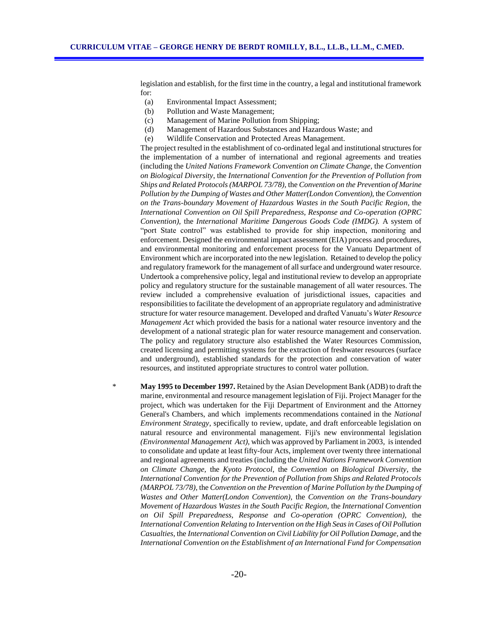legislation and establish, for the first time in the country, a legal and institutional framework for:

- (a) Environmental Impact Assessment;
- (b) Pollution and Waste Management;
- (c) Management of Marine Pollution from Shipping;
- (d) Management of Hazardous Substances and Hazardous Waste; and
- (e) Wildlife Conservation and Protected Areas Management.

The project resulted in the establishment of co-ordinated legal and institutional structures for the implementation of a number of international and regional agreements and treaties (including the *United Nations Framework Convention on Climate Change,* the *Convention on Biological Diversity*, the *International Convention for the Prevention of Pollution from Ships and Related Protocols (MARPOL 73/78),* the *Convention on the Prevention of Marine Pollution by the Dumping of Wastes and Other Matter(London Convention),* the *Convention on the Trans-boundary Movement of Hazardous Wastes in the South Pacific Region,* the *International Convention on Oil Spill Preparedness, Response and Co-operation (OPRC Convention),* the *International Maritime Dangerous Goods Code (IMDG).* A system of "port State control" was established to provide for ship inspection, monitoring and enforcement. Designed the environmental impact assessment (EIA) process and procedures, and environmental monitoring and enforcement process for the Vanuatu Department of Environment which are incorporated into the new legislation. Retained to develop the policy and regulatory framework for the management of all surface and underground water resource. Undertook a comprehensive policy, legal and institutional review to develop an appropriate policy and regulatory structure for the sustainable management of all water resources. The review included a comprehensive evaluation of jurisdictional issues, capacities and responsibilities to facilitate the development of an appropriate regulatory and administrative structure for water resource management. Developed and drafted Vanuatu's *Water Resource Management Act* which provided the basis for a national water resource inventory and the development of a national strategic plan for water resource management and conservation. The policy and regulatory structure also established the Water Resources Commission, created licensing and permitting systems for the extraction of freshwater resources (surface and underground), established standards for the protection and conservation of water resources, and instituted appropriate structures to control water pollution.

\* **May 1995 to December 1997.** Retained by the Asian Development Bank (ADB) to draft the marine, environmental and resource management legislation of Fiji. Project Manager for the project, which was undertaken for the Fiji Department of Environment and the Attorney General's Chambers, and which implements recommendations contained in the *National Environment Strategy*, specifically to review, update, and draft enforceable legislation on natural resource and environmental management. Fiji's new environmental legislation *(Environmental Management Act),* which was approved by Parliament in 2003*,* is intended to consolidate and update at least fifty-four Acts, implement over twenty three international and regional agreements and treaties (including the *United Nations Framework Convention on Climate Change,* the *Kyoto Protocol*, the *Convention on Biological Diversity*, the *International Convention for the Prevention of Pollution from Ships and Related Protocols (MARPOL 73/78),* the *Convention on the Prevention of Marine Pollution by the Dumping of Wastes and Other Matter(London Convention),* the *Convention on the Trans-boundary Movement of Hazardous Wastes in the South Pacific Region,* the *International Convention on Oil Spill Preparedness, Response and Co-operation (OPRC Convention),* the *International Convention Relating to Intervention on the High Seas in Cases of Oil Pollution Casualties,* the *International Convention on Civil Liability for Oil Pollution Damage,* and the *International Convention on the Establishment of an International Fund for Compensation*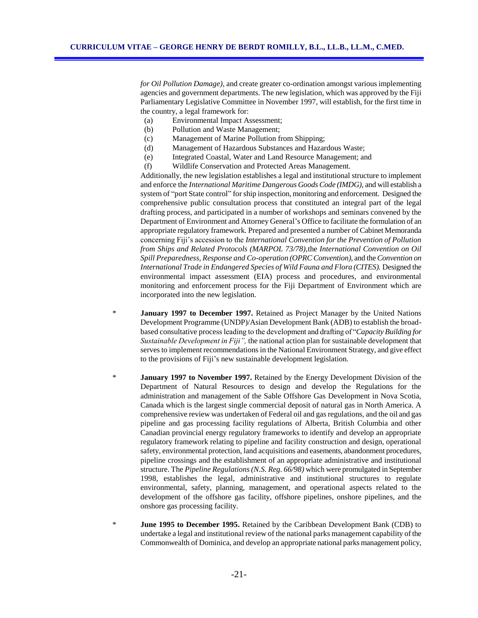*for Oil Pollution Damage)*, and create greater co-ordination amongst various implementing agencies and government departments. The new legislation, which was approved by the Fiji Parliamentary Legislative Committee in November 1997, will establish, for the first time in the country, a legal framework for:

- (a) Environmental Impact Assessment;
- (b) Pollution and Waste Management;
- (c) Management of Marine Pollution from Shipping;
- (d) Management of Hazardous Substances and Hazardous Waste;
- (e) Integrated Coastal, Water and Land Resource Management; and
- (f) Wildlife Conservation and Protected Areas Management.

Additionally, the new legislation establishes a legal and institutional structure to implement and enforce the *International Maritime Dangerous Goods Code (IMDG),* and will establish a system of "port State control" for ship inspection, monitoring and enforcement. Designed the comprehensive public consultation process that constituted an integral part of the legal drafting process, and participated in a number of workshops and seminars convened by the Department of Environment and Attorney General's Office to facilitate the formulation of an appropriate regulatory framework. Prepared and presented a number of Cabinet Memoranda concerning Fiji's accession to the *International Convention for the Prevention of Pollution from Ships and Related Protocols (MARPOL 73/78),*the *International Convention on Oil Spill Preparedness, Response and Co-operation (OPRC Convention),* and the *Convention on International Trade in Endangered Species of Wild Fauna and Flora (CITES).* Designed the environmental impact assessment (EIA) process and procedures, and environmental monitoring and enforcement process for the Fiji Department of Environment which are incorporated into the new legislation.

- \* **January 1997 to December 1997.** Retained as Project Manager by the United Nations Development Programme (UNDP)/Asian Development Bank (ADB) to establish the broadbased consultative process leading to the development and drafting of "*Capacity Building for Sustainable Development in Fiji",* the national action plan for sustainable development that serves to implement recommendations in the National Environment Strategy, and give effect to the provisions of Fiji's new sustainable development legislation.
- January 1997 to November 1997. Retained by the Energy Development Division of the Department of Natural Resources to design and develop the Regulations for the administration and management of the Sable Offshore Gas Development in Nova Scotia, Canada which is the largest single commercial deposit of natural gas in North America. A comprehensive review was undertaken of Federal oil and gas regulations, and the oil and gas pipeline and gas processing facility regulations of Alberta, British Columbia and other Canadian provincial energy regulatory frameworks to identify and develop an appropriate regulatory framework relating to pipeline and facility construction and design, operational safety, environmental protection, land acquisitions and easements, abandonment procedures, pipeline crossings and the establishment of an appropriate administrative and institutional structure. The *Pipeline Regulations (N.S. Reg. 66/98)* which were promulgated in September 1998, establishes the legal, administrative and institutional structures to regulate environmental, safety, planning, management, and operational aspects related to the development of the offshore gas facility, offshore pipelines, onshore pipelines, and the onshore gas processing facility.
- **June 1995 to December 1995.** Retained by the Caribbean Development Bank (CDB) to undertake a legal and institutional review of the national parks management capability of the Commonwealth of Dominica, and develop an appropriate national parks management policy,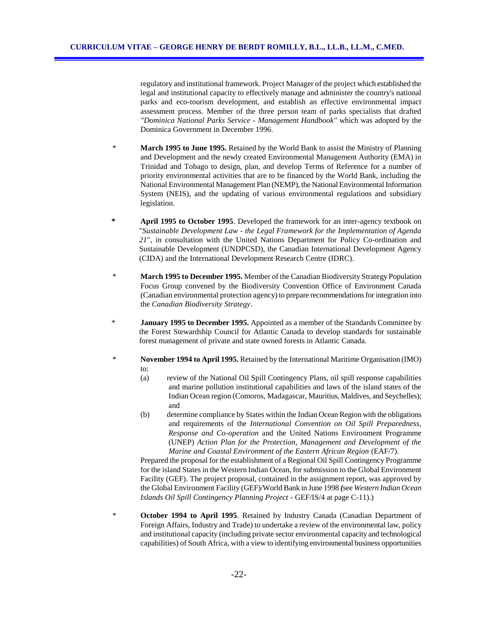regulatory and institutional framework. Project Manager of the project which established the legal and institutional capacity to effectively manage and administer the country's national parks and eco-tourism development, and establish an effective environmental impact assessment process. Member of the three person team of parks specialists that drafted *"Dominica National Parks Service - Management Handbook"* which was adopted by the Dominica Government in December 1996.

- **March 1995 to June 1995.** Retained by the World Bank to assist the Ministry of Planning and Development and the newly created Environmental Management Authority (EMA) in Trinidad and Tobago to design, plan, and develop Terms of Reference for a number of priority environmental activities that are to be financed by the World Bank, including the National Environmental Management Plan (NEMP), the National Environmental Information System (NEIS), and the updating of various environmental regulations and subsidiary legislation.
- **\* April 1995 to October 1995**. Developed the framework for an inter-agency textbook on "*Sustainable Development Law - the Legal Framework for the Implementation of Agenda 21*", in consultation with the United Nations Department for Policy Co-ordination and Sustainable Development (UNDPCSD), the Canadian International Development Agency (CIDA) and the International Development Research Centre (IDRC).
- \* **March 1995 to December 1995.** Member of the Canadian Biodiversity Strategy Population Focus Group convened by the Biodiversity Convention Office of Environment Canada (Canadian environmental protection agency) to prepare recommendations for integration into the *Canadian Biodiversity Strategy*.
- \* **January 1995 to December 1995.** Appointed as a member of the Standards Committee by the Forest Stewardship Council for Atlantic Canada to develop standards for sustainable forest management of private and state owned forests in Atlantic Canada.
- \* **November 1994 to April 1995.** Retained by the International Maritime Organisation (IMO) to:
	- (a) review of the National Oil Spill Contingency Plans, oil spill response capabilities and marine pollution institutional capabilities and laws of the island states of the Indian Ocean region (Comoros, Madagascar, Mauritius, Maldives, and Seychelles); and
	- (b) determine compliance by States within the Indian Ocean Region with the obligations and requirements of the *International Convention on Oil Spill Preparedness, Response and Co-operation* and the United Nations Environment Programme (UNEP) *Action Plan for the Protection, Management and Development of the Marine and Coastal Environment of the Eastern African Region* (EAF/7).

Prepared the proposal for the establishment of a Regional Oil Spill Contingency Programme for the island States in the Western Indian Ocean, for submission to the Global Environment Facility (GEF). The project proposal, contained in the assignment report, was approved by the Global Environment Facility (GEF)/World Bank in June 1998 *(*see *Western Indian Ocean Islands Oil Spill Contingency Planning Project -* GEF/IS/4 at page C-11).)

\* **October 1994 to April 1995**. Retained by Industry Canada (Canadian Department of Foreign Affairs, Industry and Trade) to undertake a review of the environmental law, policy and institutional capacity (including private sector environmental capacity and technological capabilities) of South Africa, with a view to identifying environmental business opportunities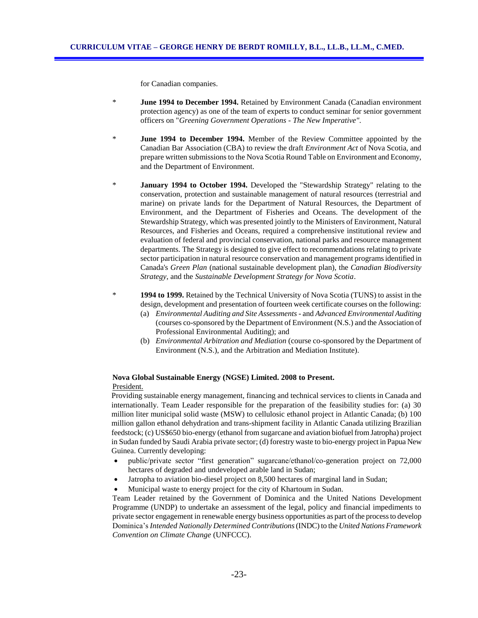for Canadian companies.

- \* **June 1994 to December 1994.** Retained by Environment Canada (Canadian environment protection agency) as one of the team of experts to conduct seminar for senior government officers on "*Greening Government Operations - The New Imperative".*
- \* **June 1994 to December 1994.** Member of the Review Committee appointed by the Canadian Bar Association (CBA) to review the draft *Environment Act* of Nova Scotia, and prepare written submissions to the Nova Scotia Round Table on Environment and Economy, and the Department of Environment.
- **January 1994 to October 1994.** Developed the "Stewardship Strategy" relating to the conservation, protection and sustainable management of natural resources (terrestrial and marine) on private lands for the Department of Natural Resources, the Department of Environment, and the Department of Fisheries and Oceans. The development of the Stewardship Strategy, which was presented jointly to the Ministers of Environment, Natural Resources, and Fisheries and Oceans, required a comprehensive institutional review and evaluation of federal and provincial conservation, national parks and resource management departments. The Strategy is designed to give effect to recommendations relating to private sector participation in natural resource conservation and management programs identified in Canada's *Green Plan* (national sustainable development plan), the *Canadian Biodiversity Strategy*, and the *Sustainable Development Strategy for Nova Scotia*.
- \* **1994 to 1999.** Retained by the Technical University of Nova Scotia (TUNS) to assist in the design, development and presentation of fourteen week certificate courses on the following:
	- (a) *Environmental Auditing and Site Assessments* and *Advanced Environmental Auditing* (courses co-sponsored by the Department of Environment (N.S.) and the Association of Professional Environmental Auditing); and
	- (b) *Environmental Arbitration and Mediation* (course co-sponsored by the Department of Environment (N.S.), and the Arbitration and Mediation Institute).

### **Nova Global Sustainable Energy (NGSE) Limited. 2008 to Present.**  President.

Providing sustainable energy management, financing and technical services to clients in Canada and internationally. Team Leader responsible for the preparation of the feasibility studies for: (a) 30 million liter municipal solid waste (MSW) to cellulosic ethanol project in Atlantic Canada; (b) 100 million gallon ethanol dehydration and trans-shipment facility in Atlantic Canada utilizing Brazilian feedstock; (c) US\$650 bio-energy (ethanol from sugarcane and aviation biofuel from Jatropha) project in Sudan funded by Saudi Arabia private sector; (d) forestry waste to bio-energy project in Papua New Guinea. Currently developing:

- public/private sector "first generation" sugarcane/ethanol/co-generation project on 72,000 hectares of degraded and undeveloped arable land in Sudan;
- Jatropha to aviation bio-diesel project on 8,500 hectares of marginal land in Sudan;
- Municipal waste to energy project for the city of Khartoum in Sudan.

Team Leader retained by the Government of Dominica and the United Nations Development Programme (UNDP) to undertake an assessment of the legal, policy and financial impediments to private sector engagement in renewable energy business opportunities as part of the process to develop Dominica's *Intended Nationally Determined Contributions*(INDC) to the *United Nations Framework Convention on Climate Change* (UNFCCC).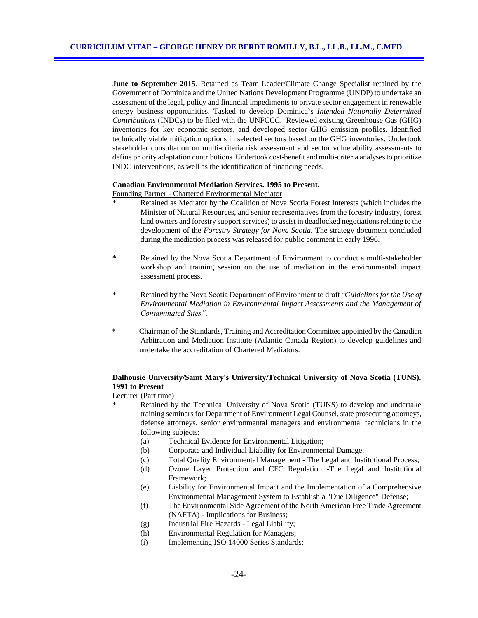**June to September 2015**. Retained as Team Leader/Climate Change Specialist retained by the Government of Dominica and the United Nations Development Programme (UNDP) to undertake an assessment of the legal, policy and financial impediments to private sector engagement in renewable energy business opportunities. Tasked to develop Dominica`s *Intended Nationally Determined Contributions* (INDCs) to be filed with the UNFCCC. Reviewed existing Greenhouse Gas (GHG) inventories for key economic sectors, and developed sector GHG emission profiles. Identified technically viable mitigation options in selected sectors based on the GHG inventories. Undertook stakeholder consultation on multi-criteria risk assessment and sector vulnerability assessments to define priority adaptation contributions. Undertook cost-benefit and multi-criteria analyses to prioritize INDC interventions, as well as the identification of financing needs.

#### **Canadian Environmental Mediation Services. 1995 to Present.**

Founding Partner - Chartered Environmental Mediator

- Retained as Mediator by the Coalition of Nova Scotia Forest Interests (which includes the Minister of Natural Resources, and senior representatives from the forestry industry, forest land owners and forestry support services) to assist in deadlocked negotiations relating to the development of the *Forestry Strategy for Nova Scotia.* The strategy document concluded during the mediation process was released for public comment in early 1996.
- \* Retained by the Nova Scotia Department of Environment to conduct a multi-stakeholder workshop and training session on the use of mediation in the environmental impact assessment process.
- \* Retained by the Nova Scotia Department of Environment to draft "*Guidelines for the Use of Environmental Mediation in Environmental Impact Assessments and the Management of Contaminated Sites".*
- \* Chairman of the Standards, Training and Accreditation Committee appointed by the Canadian Arbitration and Mediation Institute (Atlantic Canada Region) to develop guidelines and undertake the accreditation of Chartered Mediators.

## **Dalhousie University/Saint Mary's University/Technical University of Nova Scotia (TUNS). 1991 to Present**

#### Lecturer (Part time)

- Retained by the Technical University of Nova Scotia (TUNS) to develop and undertake training seminars for Department of Environment Legal Counsel, state prosecuting attorneys, defense attorneys, senior environmental managers and environmental technicians in the following subjects:
	- (a) Technical Evidence for Environmental Litigation;
	- (b) Corporate and Individual Liability for Environmental Damage;
	- (c) Total Quality Environmental Management The Legal and Institutional Process;
	- (d) Ozone Layer Protection and CFC Regulation -The Legal and Institutional Framework;
	- (e) Liability for Environmental Impact and the Implementation of a Comprehensive Environmental Management System to Establish a "Due Diligence" Defense;
	- (f) The Environmental Side Agreement of the North American Free Trade Agreement (NAFTA) - Implications for Business;
	- (g) Industrial Fire Hazards Legal Liability;
	- (h) Environmental Regulation for Managers;
	- (i) Implementing ISO 14000 Series Standards;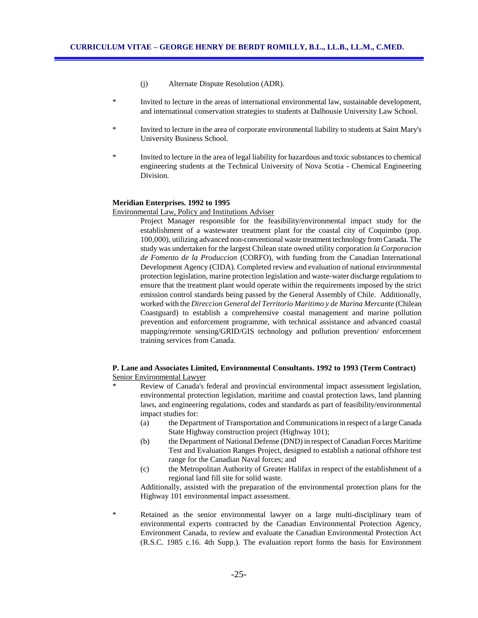- (j) Alternate Dispute Resolution (ADR).
- Invited to lecture in the areas of international environmental law, sustainable development, and international conservation strategies to students at Dalhousie University Law School.
- \* Invited to lecture in the area of corporate environmental liability to students at Saint Mary's University Business School.
- \* Invited to lecture in the area of legal liability for hazardous and toxic substances to chemical engineering students at the Technical University of Nova Scotia - Chemical Engineering Division.

#### **Meridian Enterprises. 1992 to 1995**

Environmental Law, Policy and Institutions Adviser

Project Manager responsible for the feasibility/environmental impact study for the establishment of a wastewater treatment plant for the coastal city of Coquimbo (pop. 100,000), utilizing advanced non-conventional waste treatment technology from Canada. The study was undertaken for the largest Chilean state owned utility corporation *la Corporacion de Fomento de la Produccion* (CORFO), with funding from the Canadian International Development Agency (CIDA). Completed review and evaluation of national environmental protection legislation, marine protection legislation and waste-water discharge regulations to ensure that the treatment plant would operate within the requirements imposed by the strict emission control standards being passed by the General Assembly of Chile. Additionally, worked with the *Direccion General del Territorio Maritimo y de Marina Mercante* (Chilean Coastguard) to establish a comprehensive coastal management and marine pollution prevention and enforcement programme, with technical assistance and advanced coastal mapping/remote sensing/GRID/GIS technology and pollution prevention/ enforcement training services from Canada.

### **P. Lane and Associates Limited, Environmental Consultants. 1992 to 1993 (Term Contract)** Senior Environmental Lawyer

- Review of Canada's federal and provincial environmental impact assessment legislation, environmental protection legislation, maritime and coastal protection laws, land planning laws, and engineering regulations, codes and standards as part of feasibility/environmental impact studies for:
	- (a) the Department of Transportation and Communications in respect of a large Canada State Highway construction project (Highway 101);
	- (b) the Department of National Defense (DND) in respect of Canadian Forces Maritime Test and Evaluation Ranges Project, designed to establish a national offshore test range for the Canadian Naval forces; and
	- (c) the Metropolitan Authority of Greater Halifax in respect of the establishment of a regional land fill site for solid waste.

Additionally, assisted with the preparation of the environmental protection plans for the Highway 101 environmental impact assessment.

Retained as the senior environmental lawyer on a large multi-disciplinary team of environmental experts contracted by the Canadian Environmental Protection Agency, Environment Canada, to review and evaluate the Canadian Environmental Protection Act (R.S.C. 1985 c.16. 4th Supp.). The evaluation report forms the basis for Environment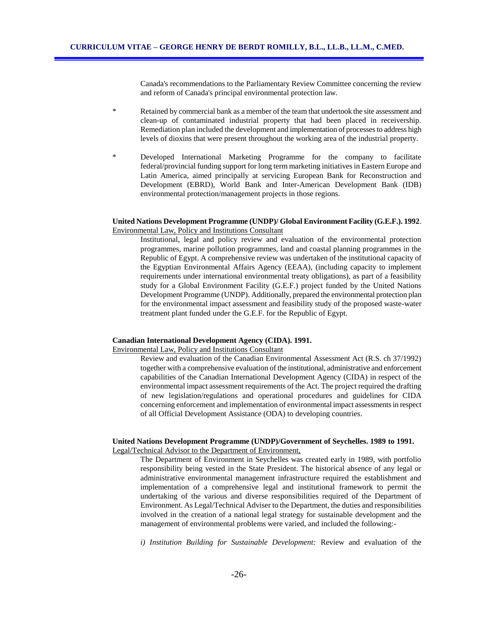Canada's recommendations to the Parliamentary Review Committee concerning the review and reform of Canada's principal environmental protection law.

- \* Retained by commercial bank as a member of the team that undertook the site assessment and clean-up of contaminated industrial property that had been placed in receivership. Remediation plan included the development and implementation of processes to address high levels of dioxins that were present throughout the working area of the industrial property.
- \* Developed International Marketing Programme for the company to facilitate federal/provincial funding support for long term marketing initiatives in Eastern Europe and Latin America, aimed principally at servicing European Bank for Reconstruction and Development (EBRD), World Bank and Inter-American Development Bank (IDB) environmental protection/management projects in those regions.

### **United Nations Development Programme (UNDP)/ Global Environment Facility (G.E.F.). 1992**. Environmental Law, Policy and Institutions Consultant

Institutional, legal and policy review and evaluation of the environmental protection programmes, marine pollution programmes, land and coastal planning programmes in the Republic of Egypt. A comprehensive review was undertaken of the institutional capacity of the Egyptian Environmental Affairs Agency (EEAA), (including capacity to implement requirements under international environmental treaty obligations), as part of a feasibility study for a Global Environment Facility (G.E.F.) project funded by the United Nations Development Programme (UNDP). Additionally, prepared the environmental protection plan for the environmental impact assessment and feasibility study of the proposed waste-water treatment plant funded under the G.E.F. for the Republic of Egypt.

#### **Canadian International Development Agency (CIDA). 1991.**

Environmental Law, Policy and Institutions Consultant

Review and evaluation of the Canadian Environmental Assessment Act (R.S. ch 37/1992) together with a comprehensive evaluation of the institutional, administrative and enforcement capabilities of the Canadian International Development Agency (CIDA) in respect of the environmental impact assessment requirements of the Act. The project required the drafting of new legislation/regulations and operational procedures and guidelines for CIDA concerning enforcement and implementation of environmental impact assessments in respect of all Official Development Assistance (ODA) to developing countries.

#### **United Nations Development Programme (UNDP)/Government of Seychelles. 1989 to 1991.** Legal/Technical Advisor to the Department of Environment,

The Department of Environment in Seychelles was created early in 1989, with portfolio responsibility being vested in the State President. The historical absence of any legal or administrative environmental management infrastructure required the establishment and implementation of a comprehensive legal and institutional framework to permit the undertaking of the various and diverse responsibilities required of the Department of Environment. As Legal/Technical Adviser to the Department, the duties and responsibilities involved in the creation of a national legal strategy for sustainable development and the management of environmental problems were varied, and included the following:-

*i) Institution Building for Sustainable Development:* Review and evaluation of the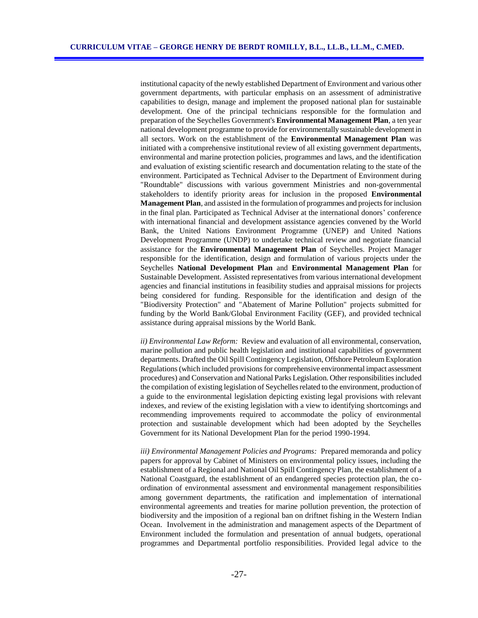institutional capacity of the newly established Department of Environment and various other government departments, with particular emphasis on an assessment of administrative capabilities to design, manage and implement the proposed national plan for sustainable development. One of the principal technicians responsible for the formulation and preparation of the Seychelles Government's **Environmental Management Plan**, a ten year national development programme to provide for environmentally sustainable development in all sectors. Work on the establishment of the **Environmental Management Plan** was initiated with a comprehensive institutional review of all existing government departments, environmental and marine protection policies, programmes and laws, and the identification and evaluation of existing scientific research and documentation relating to the state of the environment. Participated as Technical Adviser to the Department of Environment during "Roundtable" discussions with various government Ministries and non-governmental stakeholders to identify priority areas for inclusion in the proposed **Environmental Management Plan**, and assisted in the formulation of programmes and projects for inclusion in the final plan. Participated as Technical Adviser at the international donors' conference with international financial and development assistance agencies convened by the World Bank, the United Nations Environment Programme (UNEP) and United Nations Development Programme (UNDP) to undertake technical review and negotiate financial assistance for the **Environmental Management Plan** of Seychelles. Project Manager responsible for the identification, design and formulation of various projects under the Seychelles **National Development Plan** and **Environmental Management Plan** for Sustainable Development. Assisted representatives from various international development agencies and financial institutions in feasibility studies and appraisal missions for projects being considered for funding. Responsible for the identification and design of the "Biodiversity Protection" and "Abatement of Marine Pollution" projects submitted for funding by the World Bank/Global Environment Facility (GEF), and provided technical assistance during appraisal missions by the World Bank.

*ii) Environmental Law Reform:* Review and evaluation of all environmental, conservation, marine pollution and public health legislation and institutional capabilities of government departments. Drafted the Oil Spill Contingency Legislation, Offshore Petroleum Exploration Regulations (which included provisions for comprehensive environmental impact assessment procedures) and Conservation and National Parks Legislation. Other responsibilities included the compilation of existing legislation of Seychelles related to the environment, production of a guide to the environmental legislation depicting existing legal provisions with relevant indexes, and review of the existing legislation with a view to identifying shortcomings and recommending improvements required to accommodate the policy of environmental protection and sustainable development which had been adopted by the Seychelles Government for its National Development Plan for the period 1990-1994.

 *iii) Environmental Management Policies and Programs:* Prepared memoranda and policy papers for approval by Cabinet of Ministers on environmental policy issues, including the establishment of a Regional and National Oil Spill Contingency Plan, the establishment of a National Coastguard, the establishment of an endangered species protection plan, the coordination of environmental assessment and environmental management responsibilities among government departments, the ratification and implementation of international environmental agreements and treaties for marine pollution prevention, the protection of biodiversity and the imposition of a regional ban on driftnet fishing in the Western Indian Ocean. Involvement in the administration and management aspects of the Department of Environment included the formulation and presentation of annual budgets, operational programmes and Departmental portfolio responsibilities. Provided legal advice to the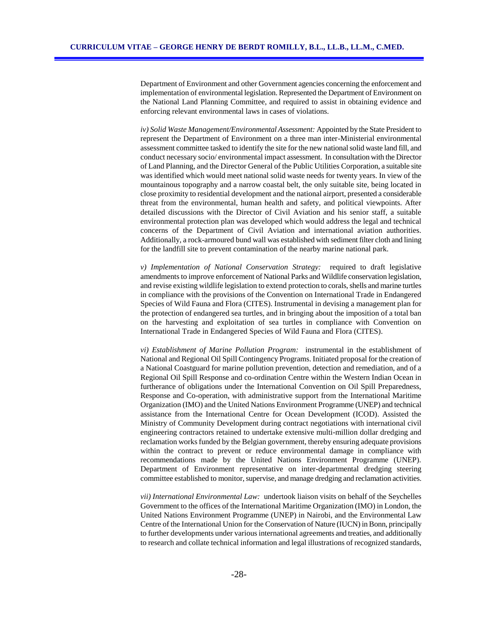Department of Environment and other Government agencies concerning the enforcement and implementation of environmental legislation. Represented the Department of Environment on the National Land Planning Committee, and required to assist in obtaining evidence and enforcing relevant environmental laws in cases of violations.

*iv) Solid Waste Management/Environmental Assessment:* Appointed by the State President to represent the Department of Environment on a three man inter-Ministerial environmental assessment committee tasked to identify the site for the new national solid waste land fill, and conduct necessary socio/ environmental impact assessment. In consultation with the Director of Land Planning, and the Director General of the Public Utilities Corporation, a suitable site was identified which would meet national solid waste needs for twenty years. In view of the mountainous topography and a narrow coastal belt, the only suitable site, being located in close proximity to residential development and the national airport, presented a considerable threat from the environmental, human health and safety, and political viewpoints. After detailed discussions with the Director of Civil Aviation and his senior staff, a suitable environmental protection plan was developed which would address the legal and technical concerns of the Department of Civil Aviation and international aviation authorities. Additionally, a rock-armoured bund wall was established with sediment filter cloth and lining for the landfill site to prevent contamination of the nearby marine national park.

 *v) Implementation of National Conservation Strategy:* required to draft legislative amendments to improve enforcement of National Parks and Wildlife conservation legislation, and revise existing wildlife legislation to extend protection to corals, shells and marine turtles in compliance with the provisions of the Convention on International Trade in Endangered Species of Wild Fauna and Flora (CITES). Instrumental in devising a management plan for the protection of endangered sea turtles, and in bringing about the imposition of a total ban on the harvesting and exploitation of sea turtles in compliance with Convention on International Trade in Endangered Species of Wild Fauna and Flora (CITES).

 *vi) Establishment of Marine Pollution Program:* instrumental in the establishment of National and Regional Oil Spill Contingency Programs. Initiated proposal for the creation of a National Coastguard for marine pollution prevention, detection and remediation, and of a Regional Oil Spill Response and co-ordination Centre within the Western Indian Ocean in furtherance of obligations under the International Convention on Oil Spill Preparedness, Response and Co-operation, with administrative support from the International Maritime Organization (IMO) and the United Nations Environment Programme (UNEP) and technical assistance from the International Centre for Ocean Development (ICOD). Assisted the Ministry of Community Development during contract negotiations with international civil engineering contractors retained to undertake extensive multi-million dollar dredging and reclamation works funded by the Belgian government, thereby ensuring adequate provisions within the contract to prevent or reduce environmental damage in compliance with recommendations made by the United Nations Environment Programme (UNEP). Department of Environment representative on inter-departmental dredging steering committee established to monitor, supervise, and manage dredging and reclamation activities.

 *vii) International Environmental Law:* undertook liaison visits on behalf of the Seychelles Government to the offices of the International Maritime Organization (IMO) in London, the United Nations Environment Programme (UNEP) in Nairobi, and the Environmental Law Centre of the International Union for the Conservation of Nature (IUCN) in Bonn, principally to further developments under various international agreements and treaties, and additionally to research and collate technical information and legal illustrations of recognized standards,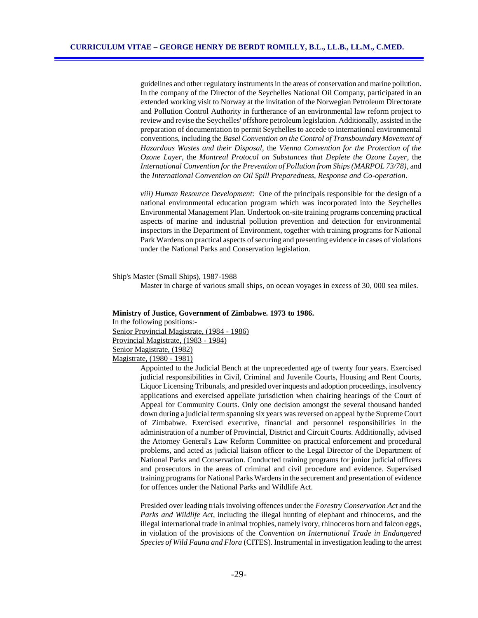guidelines and other regulatory instruments in the areas of conservation and marine pollution. In the company of the Director of the Seychelles National Oil Company, participated in an extended working visit to Norway at the invitation of the Norwegian Petroleum Directorate and Pollution Control Authority in furtherance of an environmental law reform project to review and revise the Seychelles' offshore petroleum legislation. Additionally, assisted in the preparation of documentation to permit Seychelles to accede to international environmental conventions, including the *Basel Convention on the Control of Transboundary Movement of Hazardous Wastes and their Disposal*, the *Vienna Convention for the Protection of the Ozone Layer*, the *Montreal Protocol on Substances that Deplete the Ozone Layer*, the *International Convention for the Prevention of Pollution from Ships (MARPOL 73/78)*, and the *International Convention on Oil Spill Preparedness, Response and Co-operation*.

*viii) Human Resource Development:* One of the principals responsible for the design of a national environmental education program which was incorporated into the Seychelles Environmental Management Plan. Undertook on-site training programs concerning practical aspects of marine and industrial pollution prevention and detection for environmental inspectors in the Department of Environment, together with training programs for National Park Wardens on practical aspects of securing and presenting evidence in cases of violations under the National Parks and Conservation legislation.

Ship's Master (Small Ships), 1987-1988

Master in charge of various small ships, on ocean voyages in excess of 30, 000 sea miles.

#### **Ministry of Justice, Government of Zimbabwe. 1973 to 1986.**

In the following positions:-

Senior Provincial Magistrate, (1984 - 1986)

Provincial Magistrate, (1983 - 1984)

Senior Magistrate, (1982)

Magistrate, (1980 - 1981)

Appointed to the Judicial Bench at the unprecedented age of twenty four years. Exercised judicial responsibilities in Civil, Criminal and Juvenile Courts, Housing and Rent Courts, Liquor Licensing Tribunals, and presided over inquests and adoption proceedings, insolvency applications and exercised appellate jurisdiction when chairing hearings of the Court of Appeal for Community Courts. Only one decision amongst the several thousand handed down during a judicial term spanning six years was reversed on appeal by the Supreme Court of Zimbabwe. Exercised executive, financial and personnel responsibilities in the administration of a number of Provincial, District and Circuit Courts. Additionally, advised the Attorney General's Law Reform Committee on practical enforcement and procedural problems, and acted as judicial liaison officer to the Legal Director of the Department of National Parks and Conservation. Conducted training programs for junior judicial officers and prosecutors in the areas of criminal and civil procedure and evidence. Supervised training programs for National Parks Wardens in the securement and presentation of evidence for offences under the National Parks and Wildlife Act.

Presided over leading trials involving offences under the *Forestry Conservation Act* and the *Parks and Wildlife Act*, including the illegal hunting of elephant and rhinoceros, and the illegal international trade in animal trophies, namely ivory, rhinoceros horn and falcon eggs, in violation of the provisions of the *Convention on International Trade in Endangered Species of Wild Fauna and Flora* (CITES). Instrumental in investigation leading to the arrest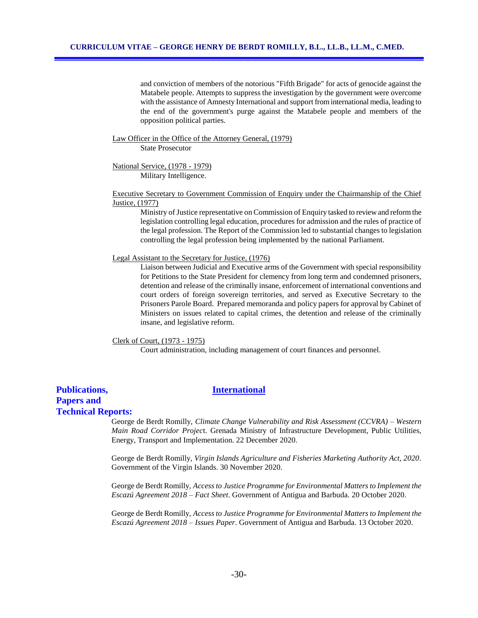and conviction of members of the notorious "Fifth Brigade" for acts of genocide against the Matabele people. Attempts to suppress the investigation by the government were overcome with the assistance of Amnesty International and support from international media, leading to the end of the government's purge against the Matabele people and members of the opposition political parties.

Law Officer in the Office of the Attorney General, (1979)

State Prosecutor

National Service, (1978 - 1979) Military Intelligence.

Executive Secretary to Government Commission of Enquiry under the Chairmanship of the Chief Justice, (1977)

Ministry of Justice representative on Commission of Enquiry tasked to review and reform the legislation controlling legal education, procedures for admission and the rules of practice of the legal profession. The Report of the Commission led to substantial changes to legislation controlling the legal profession being implemented by the national Parliament.

#### Legal Assistant to the Secretary for Justice, (1976)

Liaison between Judicial and Executive arms of the Government with special responsibility for Petitions to the State President for clemency from long term and condemned prisoners, detention and release of the criminally insane, enforcement of international conventions and court orders of foreign sovereign territories, and served as Executive Secretary to the Prisoners Parole Board. Prepared memoranda and policy papers for approval by Cabinet of Ministers on issues related to capital crimes, the detention and release of the criminally insane, and legislative reform.

#### Clerk of Court, (1973 - 1975)

Court administration, including management of court finances and personnel.

# **Papers and**

### **Publications, International**

# **Technical Reports:**

George de Berdt Romilly, *Climate Change Vulnerability and Risk Assessment (CCVRA) – Western Main Road Corridor Projec*t. Grenada Ministry of Infrastructure Development, Public Utilities, Energy, Transport and Implementation. 22 December 2020.

George de Berdt Romilly, *Virgin Islands Agriculture and Fisheries Marketing Authority Act, 2020.*  Government of the Virgin Islands. 30 November 2020.

George de Berdt Romilly, *Access to Justice Programme for Environmental Matters to Implement the Escazú Agreement 2018 – Fact Sheet*. Government of Antigua and Barbuda. 20 October 2020.

George de Berdt Romilly, *Access to Justice Programme for Environmental Matters to Implement the Escazú Agreement 2018 – Issues Paper*. Government of Antigua and Barbuda. 13 October 2020.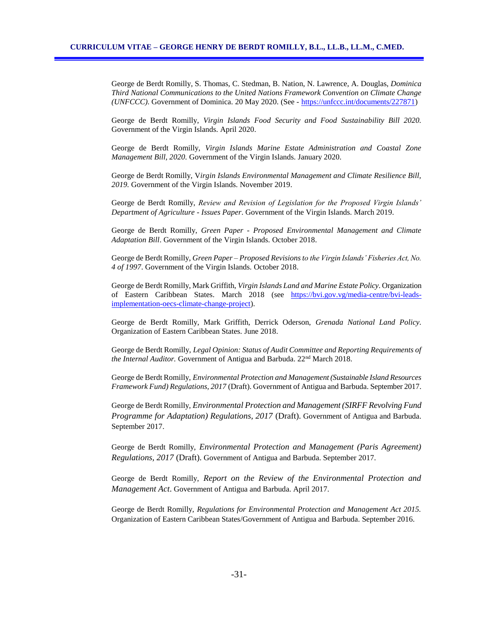George de Berdt Romilly, S. Thomas, C. Stedman, B. Nation, N. Lawrence, A. Douglas, *Dominica Third National Communications to the United Nations Framework Convention on Climate Change (UNFCCC)*. Government of Dominica. 20 May 2020. (See - [https://unfccc.int/documents/227871\)](https://unfccc.int/documents/227871)

George de Berdt Romilly, *Virgin Islands Food Security and Food Sustainability Bill 2020.*  Government of the Virgin Islands. April 2020.

George de Berdt Romilly, *Virgin Islands Marine Estate Administration and Coastal Zone Management Bill, 2020.* Government of the Virgin Islands. January 2020.

George de Berdt Romilly, V*irgin Islands Environmental Management and Climate Resilience Bill, 2019.* Government of the Virgin Islands. November 2019.

George de Berdt Romilly, *Review and Revision of Legislation for the Proposed Virgin Islands' Department of Agriculture - Issues Paper*. Government of the Virgin Islands. March 2019.

George de Berdt Romilly, *Green Paper - Proposed Environmental Management and Climate Adaptation Bill*. Government of the Virgin Islands. October 2018.

George de Berdt Romilly, *Green Paper – Proposed Revisions to the Virgin Islands' Fisheries Act, No. 4 of 1997*. Government of the Virgin Islands. October 2018.

George de Berdt Romilly, Mark Griffith, *Virgin Islands Land and Marine Estate Policy.* Organization of Eastern Caribbean States. March 2018 (see [https://bvi.gov.vg/media-centre/bvi-leads](https://bvi.gov.vg/media-centre/bvi-leads-implementation-oecs-climate-change-project)[implementation-oecs-climate-change-project\)](https://bvi.gov.vg/media-centre/bvi-leads-implementation-oecs-climate-change-project).

George de Berdt Romilly, Mark Griffith, Derrick Oderson, *Grenada National Land Policy.* Organization of Eastern Caribbean States. June 2018.

George de Berdt Romilly, *Legal Opinion: Status of Audit Committee and Reporting Requirements of the Internal Auditor.* Government of Antigua and Barbuda. 22<sup>nd</sup> March 2018.

George de Berdt Romilly, *Environmental Protection and Management (Sustainable Island Resources Framework Fund) Regulations, 2017* (Draft). Government of Antigua and Barbuda. September 2017.

George de Berdt Romilly, *Environmental Protection and Management (SIRFF Revolving Fund Programme for Adaptation) Regulations, 2017* (Draft). Government of Antigua and Barbuda. September 2017.

George de Berdt Romilly, *Environmental Protection and Management (Paris Agreement) Regulations, 2017* (Draft). Government of Antigua and Barbuda. September 2017.

George de Berdt Romilly, *Report on the Review of the Environmental Protection and Management Act*. Government of Antigua and Barbuda. April 2017.

George de Berdt Romilly, *Regulations for Environmental Protection and Management Act 2015.*  Organization of Eastern Caribbean States/Government of Antigua and Barbuda. September 2016.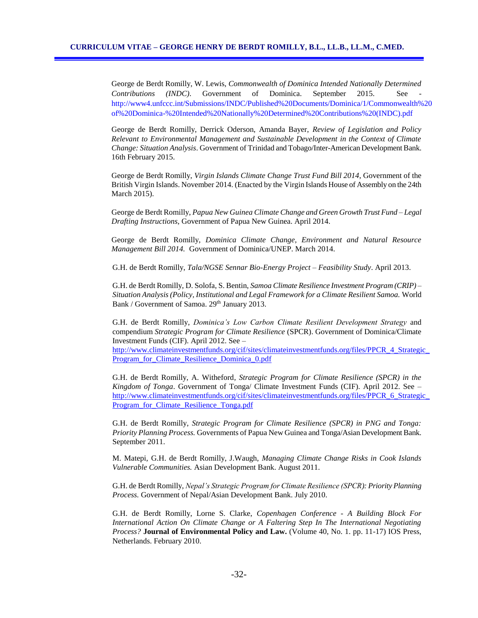George de Berdt Romilly, W. Lewis, *Commonwealth of Dominica Intended Nationally Determined Contributions (INDC)*. Government of Dominica. September 2015. See http://www4.unfccc.int/Submissions/INDC/Published%20Documents/Dominica/1/Commonwealth%20 of%20Dominica-%20Intended%20Nationally%20Determined%20Contributions%20(INDC).pdf

George de Berdt Romilly, Derrick Oderson, Amanda Bayer, *Review of Legislation and Policy Relevant to Environmental Management and Sustainable Development in the Context of Climate Change: Situation Analysis*. Government of Trinidad and Tobago/Inter-American Development Bank. 16th February 2015.

George de Berdt Romilly, *Virgin Islands Climate Change Trust Fund Bill 2014*, Government of the British Virgin Islands. November 2014. (Enacted by the Virgin Islands House of Assembly on the 24th March 2015).

George de Berdt Romilly, *Papua New Guinea Climate Change and Green Growth Trust Fund – Legal Drafting Instructions*, Government of Papua New Guinea. April 2014.

George de Berdt Romilly, *Dominica Climate Change, Environment and Natural Resource Management Bill 2014.* Government of Dominica/UNEP. March 2014.

G.H. de Berdt Romilly, *Tala/NGSE Sennar Bio-Energy Project – Feasibility Study*. April 2013.

G.H. de Berdt Romilly, D. Solofa, S. Bentin, *Samoa Climate Resilience Investment Program (CRIP) – Situation Analysis (Policy, Institutional and Legal Framework for a Climate Resilient Samoa.* World Bank / Government of Samoa. 29<sup>th</sup> January 2013.

G.H. de Berdt Romilly, *Dominica's Low Carbon Climate Resilient Development Strategy* and compendium *Strategic Program for Climate Resilience* (SPCR). Government of Dominica/Climate Investment Funds (CIF). April 2012. See –

[http://www.climateinvestmentfunds.org/cif/sites/climateinvestmentfunds.org/files/PPCR\\_4\\_Strategic\\_](http://www.climateinvestmentfunds.org/cif/sites/climateinvestmentfunds.org/files/PPCR_4_Strategic_Program_for_Climate_Resilience_Dominica_0.pdf) [Program\\_for\\_Climate\\_Resilience\\_Dominica\\_0.pdf](http://www.climateinvestmentfunds.org/cif/sites/climateinvestmentfunds.org/files/PPCR_4_Strategic_Program_for_Climate_Resilience_Dominica_0.pdf)

G.H. de Berdt Romilly, A. Witheford*, Strategic Program for Climate Resilience (SPCR) in the Kingdom of Tonga*. Government of Tonga/ Climate Investment Funds (CIF). April 2012. See – [http://www.climateinvestmentfunds.org/cif/sites/climateinvestmentfunds.org/files/PPCR\\_6\\_Strategic\\_](http://www.climateinvestmentfunds.org/cif/sites/climateinvestmentfunds.org/files/PPCR_6_Strategic_Program_for_Climate_Resilience_Tonga.pdf) Program for Climate Resilience Tonga.pdf

G.H. de Berdt Romilly, *Strategic Program for Climate Resilience (SPCR) in PNG and Tonga: Priority Planning Process.* Governments of Papua New Guinea and Tonga/Asian Development Bank. September 2011.

M. Matepi, G.H. de Berdt Romilly, J.Waugh, *Managing Climate Change Risks in Cook Islands Vulnerable Communities.* Asian Development Bank. August 2011.

G.H. de Berdt Romilly, *Nepal's Strategic Program for Climate Resilience (SPCR): Priority Planning Process.* Government of Nepal/Asian Development Bank. July 2010.

G.H. de Berdt Romilly, Lorne S. Clarke, *Copenhagen Conference - A Building Block For International Action On Climate Change or A Faltering Step In The International Negotiating Process?* **Journal of Environmental Policy and Law.** (Volume 40, No. 1. pp. 11-17) IOS Press, Netherlands. February 2010.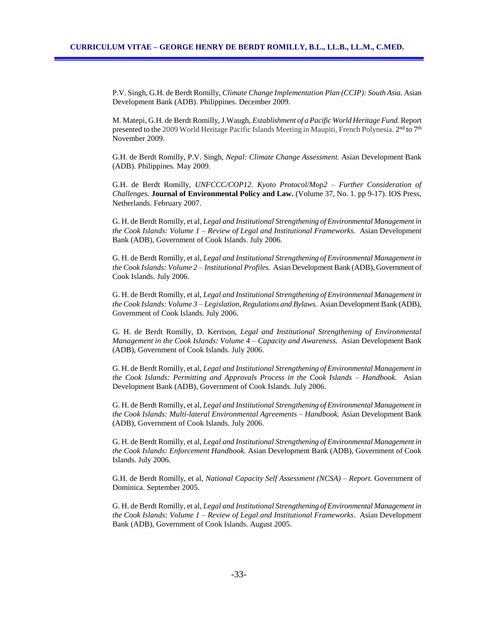P.V. Singh, G.H. de Berdt Romilly, *Climate Change Implementation Plan (CCIP): South Asia.* Asian Development Bank (ADB). Philippines. December 2009.

M. Matepi, G.H. de Berdt Romilly, J.Waugh, *Establishment of a Pacific World Heritage Fund.* Report presented to the 2009 World Heritage Pacific Islands Meeting in Maupiti, French Polynesia. 2<sup>nd</sup> to 7<sup>th</sup> November 2009.

G.H. de Berdt Romilly, P.V. Singh, *Nepal: Climate Change Assessment.* Asian Development Bank (ADB). Philippines. May 2009.

G.H. de Berdt Romilly, *UNFCCC/COP12. Kyoto Protocol/Mop2 – Further Consideration of Challenges.* **Journal of Environmental Policy and Law.** (Volume 37, No. 1. pp 9-17). IOS Press, Netherlands. February 2007.

G. H. de Berdt Romilly, et al, *Legal and Institutional Strengthening of Environmental Management in the Cook Islands: Volume 1 – Review of Legal and Institutional Frameworks*. Asian Development Bank (ADB), Government of Cook Islands. July 2006.

G. H. de Berdt Romilly, et al, *Legal and Institutional Strengthening of Environmental Management in the Cook Islands: Volume 2 – Institutional Profiles.* Asian Development Bank (ADB), Government of Cook Islands. July 2006.

G. H. de Berdt Romilly, et al, *Legal and Institutional Strengthening of Environmental Management in the Cook Islands: Volume 3 – Legislation, Regulations and Bylaws.* Asian Development Bank (ADB), Government of Cook Islands. July 2006.

G. H. de Berdt Romilly, D. Kerrison, *Legal and Institutional Strengthening of Environmental Management in the Cook Islands: Volume 4 – Capacity and Awareness.* Asian Development Bank (ADB), Government of Cook Islands. July 2006.

G. H. de Berdt Romilly, et al, *Legal and Institutional Strengthening of Environmental Management in the Cook Islands: Permitting and Approvals Process in the Cook Islands – Handbook.* Asian Development Bank (ADB), Government of Cook Islands. July 2006.

G. H. de Berdt Romilly, et al, *Legal and Institutional Strengthening of Environmental Management in the Cook Islands: Multi-lateral Environmental Agreements – Handbook.* Asian Development Bank (ADB), Government of Cook Islands. July 2006.

G. H. de Berdt Romilly, et al, *Legal and Institutional Strengthening of Environmental Management in the Cook Islands: Enforcement Handbook.* Asian Development Bank (ADB), Government of Cook Islands. July 2006.

G.H. de Berdt Romilly, et al, *National Capacity Self Assessment (NCSA) – Report.* Government of Dominica. September 2005.

G. H. de Berdt Romilly, et al, *Legal and Institutional Strengthening of Environmental Management in the Cook Islands: Volume 1 – Review of Legal and Institutional Frameworks*. Asian Development Bank (ADB), Government of Cook Islands. August 2005.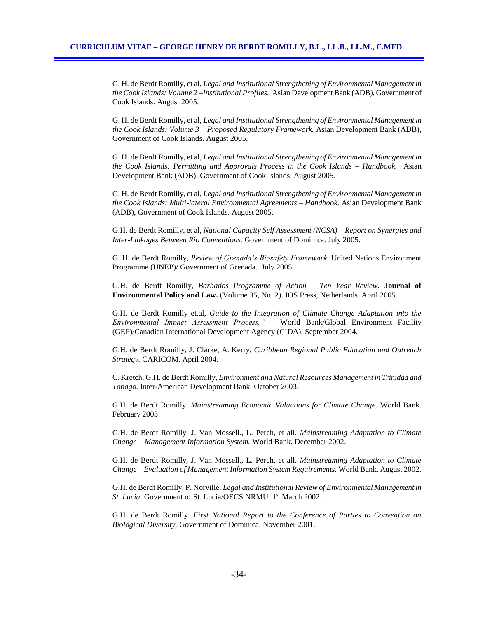G. H. de Berdt Romilly, et al, *Legal and Institutional Strengthening of Environmental Management in the Cook Islands: Volume 2 –Institutional Profiles.* Asian Development Bank (ADB), Government of Cook Islands. August 2005.

G. H. de Berdt Romilly, et al, *Legal and Institutional Strengthening of Environmental Management in the Cook Islands: Volume 3 – Proposed Regulatory Framework.* Asian Development Bank (ADB), Government of Cook Islands. August 2005.

G. H. de Berdt Romilly, et al, *Legal and Institutional Strengthening of Environmental Management in the Cook Islands: Permitting and Approvals Process in the Cook Islands – Handbook.* Asian Development Bank (ADB), Government of Cook Islands. August 2005.

G. H. de Berdt Romilly, et al, *Legal and Institutional Strengthening of Environmental Management in the Cook Islands: Multi-lateral Environmental Agreements – Handbook.* Asian Development Bank (ADB), Government of Cook Islands. August 2005.

G.H. de Berdt Romilly, et al, *National Capacity Self Assessment (NCSA) – Report on Synergies and Inter-Linkages Between Rio Conventions.* Government of Dominica. July 2005.

G. H. de Berdt Romilly, *Review of Grenada's Biosafety Framework.* United Nations Environment Programme (UNEP)/ Government of Grenada. July 2005.

G.H. de Berdt Romilly, *Barbados Programme of Action – Ten Year Review.* **Journal of Environmental Policy and Law.** (Volume 35, No. 2). IOS Press, Netherlands. April 2005.

G.H. de Berdt Romilly et.al, *Guide to the Integration of Climate Change Adaptation into the Environmental Impact Assessment Process." –* World Bank/Global Environment Facility (GEF)/Canadian International Development Agency (CIDA). September 2004*.*

G.H. de Berdt Romilly, J. Clarke, A. Kerry, *Caribbean Regional Public Education and Outreach Strategy.* CARICOM. April 2004.

C. Kretch, G.H. de Berdt Romilly, *Environment and Natural Resources Management in Trinidad and Tobago.* Inter-American Development Bank. October 2003.

G.H. de Berdt Romilly. *Mainstreaming Economic Valuations for Climate Change.* World Bank. February 2003.

G.H. de Berdt Romilly, J. Van Mossell., L. Perch, et all. *Mainstreaming Adaptation to Climate Change – Management Information System.* World Bank. December 2002.

G.H. de Berdt Romilly, J. Van Mossell., L. Perch, et all. *Mainstreaming Adaptation to Climate Change – Evaluation of Management Information System Requirements.* World Bank. August 2002.

G.H. de Berdt Romilly, P. Norville, *Legal and Institutional Review of Environmental Management in St. Lucia.* Government of St. Lucia/OECS NRMU. 1<sup>st</sup> March 2002.

G.H. de Berdt Romilly. *First National Report to the Conference of Parties to Convention on Biological Diversity.* Government of Dominica. November 2001.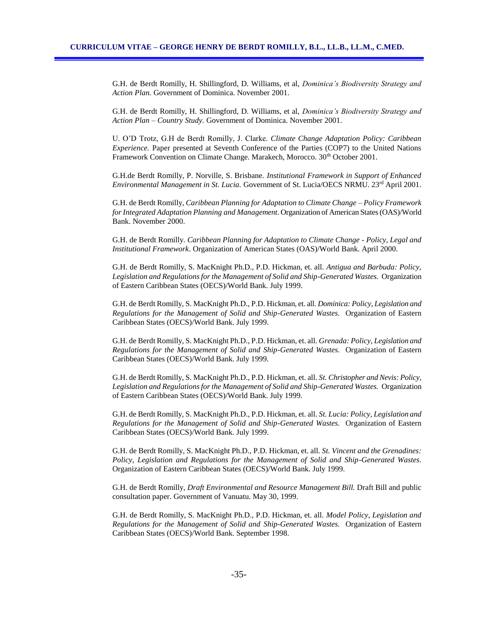G.H. de Berdt Romilly, H. Shillingford, D. Williams, et al, *Dominica's Biodiversity Strategy and Action Plan.* Government of Dominica. November 2001.

G.H. de Berdt Romilly, H. Shillingford, D. Williams, et al, *Dominica's Biodiversity Strategy and Action Plan – Country Study.* Government of Dominica. November 2001.

U. O'D Trotz, G.H de Berdt Romilly, J. Clarke. *Climate Change Adaptation Policy: Caribbean Experience.* Paper presented at Seventh Conference of the Parties (COP7) to the United Nations Framework Convention on Climate Change. Marakech, Morocco.  $30<sup>th</sup>$  October 2001.

G.H.de Berdt Romilly, P. Norville, S. Brisbane. *Institutional Framework in Support of Enhanced Environmental Management in St. Lucia.* Government of St. Lucia/OECS NRMU. 23rd April 2001.

G.H. de Berdt Romilly, *Caribbean Planning for Adaptation to Climate Change – Policy Framework for Integrated Adaptation Planning and Management*. Organization of American States (OAS)/World Bank. November 2000.

G.H. de Berdt Romilly. *Caribbean Planning for Adaptation to Climate Change - Policy, Legal and Institutional Framework*. Organization of American States (OAS)/World Bank. April 2000.

G.H. de Berdt Romilly, S. MacKnight Ph.D., P.D. Hickman, et. all. *Antigua and Barbuda: Policy, Legislation and Regulations for the Management of Solid and Ship-Generated Wastes.* Organization of Eastern Caribbean States (OECS)/World Bank. July 1999.

G.H. de Berdt Romilly, S. MacKnight Ph.D., P.D. Hickman, et. all. *Dominica: Policy, Legislation and Regulations for the Management of Solid and Ship-Generated Wastes.* Organization of Eastern Caribbean States (OECS)/World Bank. July 1999.

G.H. de Berdt Romilly, S. MacKnight Ph.D., P.D. Hickman, et. all. *Grenada: Policy, Legislation and Regulations for the Management of Solid and Ship-Generated Wastes.* Organization of Eastern Caribbean States (OECS)/World Bank. July 1999.

G.H. de Berdt Romilly, S. MacKnight Ph.D., P.D. Hickman, et. all. *St. Christopher and Nevis: Policy, Legislation and Regulations for the Management of Solid and Ship-Generated Wastes.* Organization of Eastern Caribbean States (OECS)/World Bank. July 1999.

G.H. de Berdt Romilly, S. MacKnight Ph.D., P.D. Hickman, et. all. *St. Lucia: Policy, Legislation and Regulations for the Management of Solid and Ship-Generated Wastes.* Organization of Eastern Caribbean States (OECS)/World Bank. July 1999.

G.H. de Berdt Romilly, S. MacKnight Ph.D., P.D. Hickman, et. all. *St. Vincent and the Grenadines: Policy, Legislation and Regulations for the Management of Solid and Ship-Generated Wastes.*  Organization of Eastern Caribbean States (OECS)/World Bank. July 1999.

G.H. de Berdt Romilly, *Draft Environmental and Resource Management Bill.* Draft Bill and public consultation paper. Government of Vanuatu. May 30, 1999.

G.H. de Berdt Romilly, S. MacKnight Ph.D., P.D. Hickman, et. all. *Model Policy, Legislation and Regulations for the Management of Solid and Ship-Generated Wastes.* Organization of Eastern Caribbean States (OECS)/World Bank. September 1998.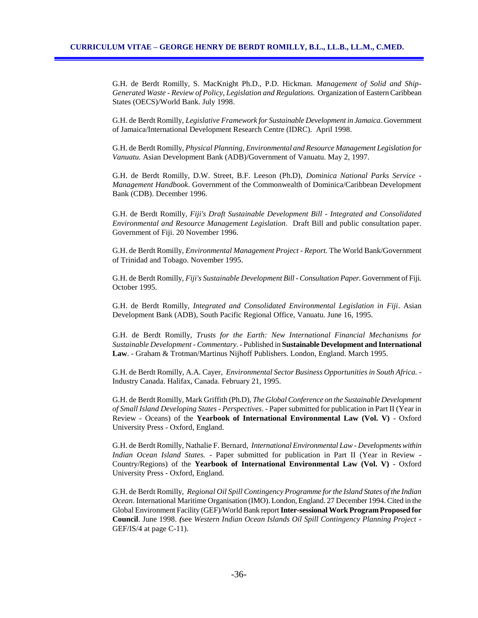G.H. de Berdt Romilly, S. MacKnight Ph.D., P.D. Hickman. *Management of Solid and Ship-Generated Waste - Review of Policy, Legislation and Regulations.* Organization of Eastern Caribbean States (OECS)/World Bank. July 1998.

G.H. de Berdt Romilly, *Legislative Framework for Sustainable Development in Jamaica.* Government of Jamaica/International Development Research Centre (IDRC). April 1998.

G.H. de Berdt Romilly, *Physical Planning, Environmental and Resource Management Legislation for Vanuatu.* Asian Development Bank (ADB)/Government of Vanuatu. May 2, 1997.

G.H. de Berdt Romilly, D.W. Street, B.F. Leeson (Ph.D), *Dominica National Parks Service - Management Handbook*. Government of the Commonwealth of Dominica/Caribbean Development Bank (CDB). December 1996.

G.H. de Berdt Romilly, *Fiji's Draft Sustainable Development Bill - Integrated and Consolidated Environmental and Resource Management Legislation.* Draft Bill and public consultation paper. Government of Fiji. 20 November 1996.

G.H. de Berdt Romilly, *Environmental Management Project - Report.* The World Bank/Government of Trinidad and Tobago. November 1995.

G.H. de Berdt Romilly, *Fiji's Sustainable Development Bill - Consultation Paper.* Government of Fiji. October 1995.

G.H. de Berdt Romilly, *Integrated and Consolidated Environmental Legislation in Fiji*. Asian Development Bank (ADB), South Pacific Regional Office, Vanuatu. June 16, 1995.

G.H. de Berdt Romilly, *Trusts for the Earth: New International Financial Mechanisms for Sustainable Development - Commentary*. - Published in **Sustainable Development and International Law**. - Graham & Trotman/Martinus Nijhoff Publishers. London, England. March 1995.

G.H. de Berdt Romilly, A.A. Cayer, *Environmental Sector Business Opportunities in South Africa.* - Industry Canada. Halifax, Canada. February 21, 1995.

G.H. de Berdt Romilly, Mark Griffith (Ph.D), *The Global Conference on the Sustainable Development of Small Island Developing States - Perspectives*. - Paper submitted for publication in Part II (Year in Review - Oceans) of the **Yearbook of International Environmental Law (Vol. V)** - Oxford University Press - Oxford, England.

G.H. de Berdt Romilly, Nathalie F. Bernard, *International Environmental Law - Developments within Indian Ocean Island States.* - Paper submitted for publication in Part II (Year in Review - Country/Regions) of the **Yearbook of International Environmental Law (Vol. V)** - Oxford University Press - Oxford, England.

G.H. de Berdt Romilly, *Regional Oil Spill Contingency Programme for the Island States of the Indian Ocean*. International Maritime Organisation (IMO). London, England. 27 December 1994. Cited in the Global Environment Facility (GEF)/World Bank report **Inter-sessional Work Program Proposed for Council**. June 1998. *(*see *Western Indian Ocean Islands Oil Spill Contingency Planning Project -* GEF/IS/4 at page C-11).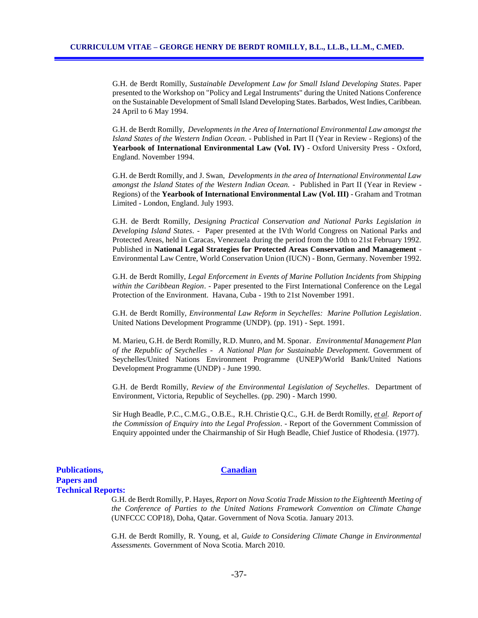G.H. de Berdt Romilly, *Sustainable Development Law for Small Island Developing States*. Paper presented to the Workshop on "Policy and Legal Instruments" during the United Nations Conference on the Sustainable Development of Small Island Developing States. Barbados, West Indies, Caribbean. 24 April to 6 May 1994.

G.H. de Berdt Romilly, *Developments in the Area of International Environmental Law amongst the Island States of the Western Indian Ocean.* - Published in Part II (Year in Review - Regions) of the **Yearbook of International Environmental Law (Vol. IV)** - Oxford University Press - Oxford, England. November 1994.

G.H. de Berdt Romilly, and J. Swan, *Developments in the area of International Environmental Law amongst the Island States of the Western Indian Ocean.* - Published in Part II (Year in Review - Regions) of the **Yearbook of International Environmental Law (Vol. III)** - Graham and Trotman Limited - London, England. July 1993.

 G.H. de Berdt Romilly, *Designing Practical Conservation and National Parks Legislation in Developing Island States*. - Paper presented at the IVth World Congress on National Parks and Protected Areas, held in Caracas, Venezuela during the period from the 10th to 21st February 1992. Published in **National Legal Strategies for Protected Areas Conservation and Management** - Environmental Law Centre, World Conservation Union (IUCN) - Bonn, Germany. November 1992.

 G.H. de Berdt Romilly, *Legal Enforcement in Events of Marine Pollution Incidents from Shipping within the Caribbean Region*. - Paper presented to the First International Conference on the Legal Protection of the Environment. Havana, Cuba - 19th to 21st November 1991.

 G.H. de Berdt Romilly, *Environmental Law Reform in Seychelles: Marine Pollution Legislation*. United Nations Development Programme (UNDP). (pp. 191) - Sept. 1991.

M. Marieu, G.H. de Berdt Romilly, R.D. Munro, and M. Sponar. *Environmental Management Plan of the Republic of Seychelles - A National Plan for Sustainable Development.* Government of Seychelles/United Nations Environment Programme (UNEP)/World Bank/United Nations Development Programme (UNDP) - June 1990.

G.H. de Berdt Romilly, *Review of the Environmental Legislation of Seychelles*. Department of Environment, Victoria, Republic of Seychelles. (pp. 290) - March 1990.

Sir Hugh Beadle, P.C., C.M.G., O.B.E., R.H. Christie Q.C., G.H. de Berdt Romilly, *et al. Report of the Commission of Enquiry into the Legal Profession*. - Report of the Government Commission of Enquiry appointed under the Chairmanship of Sir Hugh Beadle, Chief Justice of Rhodesia. (1977).

## **Publications, Canadian Papers and Technical Reports:**

G.H. de Berdt Romilly, P. Hayes, *Report on Nova Scotia Trade Mission to the Eighteenth Meeting of the Conference of Parties to the United Nations Framework Convention on Climate Change* (UNFCCC COP18), Doha, Qatar. Government of Nova Scotia. January 2013.

G.H. de Berdt Romilly, R. Young, et al, *Guide to Considering Climate Change in Environmental Assessments.* Government of Nova Scotia. March 2010.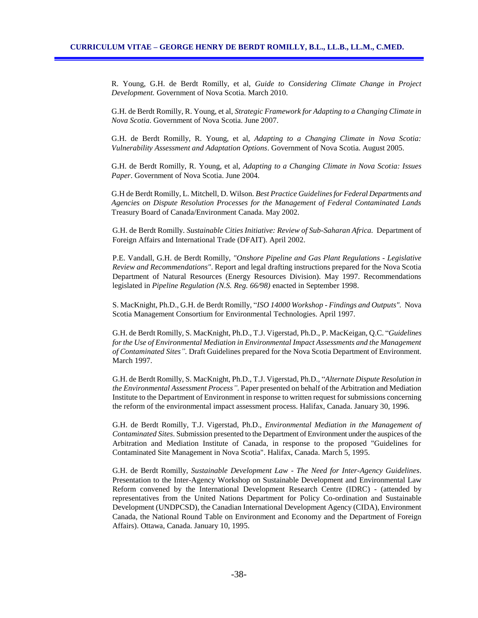R. Young, G.H. de Berdt Romilly, et al, *Guide to Considering Climate Change in Project Development.* Government of Nova Scotia. March 2010.

G.H. de Berdt Romilly, R. Young, et al, *Strategic Framework for Adapting to a Changing Climate in Nova Scotia*. Government of Nova Scotia. June 2007.

G.H. de Berdt Romilly, R. Young, et al, *Adapting to a Changing Climate in Nova Scotia: Vulnerability Assessment and Adaptation Options*. Government of Nova Scotia. August 2005.

G.H. de Berdt Romilly, R. Young, et al, *Adapting to a Changing Climate in Nova Scotia: Issues Paper*. Government of Nova Scotia. June 2004.

G.H de Berdt Romilly, L. Mitchell, D. Wilson. *Best Practice Guidelines for Federal Departments and Agencies on Dispute Resolution Processes for the Management of Federal Contaminated Lands* Treasury Board of Canada/Environment Canada. May 2002.

G.H. de Berdt Romilly. *Sustainable Cities Initiative: Review of Sub-Saharan Africa.* Department of Foreign Affairs and International Trade (DFAIT). April 2002.

P.E. Vandall, G.H. de Berdt Romilly, *"Onshore Pipeline and Gas Plant Regulations - Legislative Review and Recommendations"*. Report and legal drafting instructions prepared for the Nova Scotia Department of Natural Resources (Energy Resources Division). May 1997. Recommendations legislated in *Pipeline Regulation (N.S. Reg. 66/98)* enacted in September 1998.

S. MacKnight, Ph.D., G.H. de Berdt Romilly, "*ISO 14000 Workshop - Findings and Outputs".* Nova Scotia Management Consortium for Environmental Technologies. April 1997.

G.H. de Berdt Romilly, S. MacKnight, Ph.D., T.J. Vigerstad, Ph.D., P. MacKeigan, Q.C. "*Guidelines for the Use of Environmental Mediation in Environmental Impact Assessments and the Management of Contaminated Sites".* Draft Guidelines prepared for the Nova Scotia Department of Environment. March 1997.

G.H. de Berdt Romilly, S. MacKnight, Ph.D., T.J. Vigerstad, Ph.D., "*Alternate Dispute Resolution in the Environmental Assessment Process".* Paper presented on behalf of the Arbitration and Mediation Institute to the Department of Environment in response to written request for submissions concerning the reform of the environmental impact assessment process. Halifax, Canada. January 30, 1996.

G.H. de Berdt Romilly, T.J. Vigerstad, Ph.D., *Environmental Mediation in the Management of Contaminated Sites*. Submission presented to the Department of Environment under the auspices of the Arbitration and Mediation Institute of Canada, in response to the proposed "Guidelines for Contaminated Site Management in Nova Scotia". Halifax, Canada. March 5, 1995.

G.H. de Berdt Romilly, *Sustainable Development Law - The Need for Inter-Agency Guidelines*. Presentation to the Inter-Agency Workshop on Sustainable Development and Environmental Law Reform convened by the International Development Research Centre (IDRC) - (attended by representatives from the United Nations Department for Policy Co-ordination and Sustainable Development (UNDPCSD), the Canadian International Development Agency (CIDA), Environment Canada, the National Round Table on Environment and Economy and the Department of Foreign Affairs). Ottawa, Canada. January 10, 1995.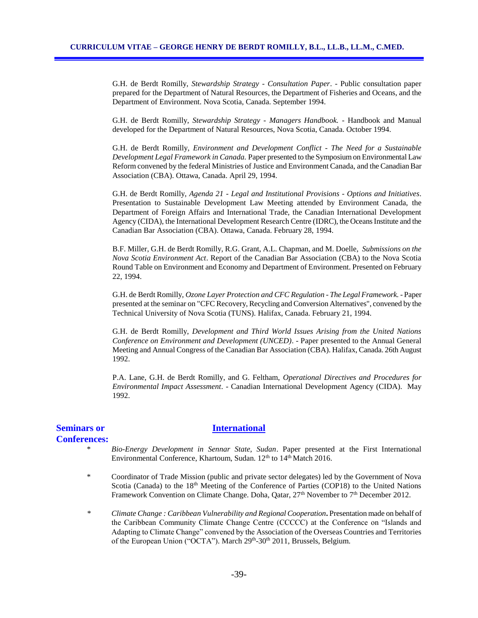G.H. de Berdt Romilly, *Stewardship Strategy - Consultation Paper*. - Public consultation paper prepared for the Department of Natural Resources, the Department of Fisheries and Oceans, and the Department of Environment. Nova Scotia, Canada. September 1994.

G.H. de Berdt Romilly, *Stewardship Strategy - Managers Handbook.* - Handbook and Manual developed for the Department of Natural Resources, Nova Scotia, Canada. October 1994.

G.H. de Berdt Romilly, *Environment and Development Conflict - The Need for a Sustainable Development Legal Framework in Canada.* Paper presented to the Symposium on Environmental Law Reform convened by the federal Ministries of Justice and Environment Canada, and the Canadian Bar Association (CBA). Ottawa, Canada. April 29, 1994.

G.H. de Berdt Romilly, *Agenda 21 - Legal and Institutional Provisions - Options and Initiatives*. Presentation to Sustainable Development Law Meeting attended by Environment Canada, the Department of Foreign Affairs and International Trade, the Canadian International Development Agency (CIDA), the International Development Research Centre (IDRC), the Oceans Institute and the Canadian Bar Association (CBA). Ottawa, Canada. February 28, 1994.

B.F. Miller, G.H. de Berdt Romilly, R.G. Grant, A.L. Chapman, and M. Doelle, *Submissions on the Nova Scotia Environment Act*. Report of the Canadian Bar Association (CBA) to the Nova Scotia Round Table on Environment and Economy and Department of Environment. Presented on February 22, 1994.

G.H. de Berdt Romilly, *Ozone Layer Protection and CFC Regulation - The Legal Framework.* - Paper presented at the seminar on "CFC Recovery, Recycling and Conversion Alternatives", convened by the Technical University of Nova Scotia (TUNS). Halifax, Canada. February 21, 1994.

G.H. de Berdt Romilly, *Development and Third World Issues Arising from the United Nations Conference on Environment and Development (UNCED)*. - Paper presented to the Annual General Meeting and Annual Congress of the Canadian Bar Association (CBA). Halifax, Canada. 26th August 1992.

P.A. Lane, G.H. de Berdt Romilly, and G. Feltham, *Operational Directives and Procedures for Environmental Impact Assessment*. - Canadian International Development Agency (CIDA). May 1992.

# **Conferences:**

## **Seminars or International**

- \* *Bio-Energy Development in Sennar State, Sudan*. Paper presented at the First International Environmental Conference, Khartoum, Sudan. 12<sup>th</sup> to 14<sup>th</sup> Match 2016.
- \* Coordinator of Trade Mission (public and private sector delegates) led by the Government of Nova Scotia (Canada) to the  $18<sup>th</sup>$  Meeting of the Conference of Parties (COP18) to the United Nations Framework Convention on Climate Change. Doha, Qatar,  $27<sup>th</sup>$  November to  $7<sup>th</sup>$  December 2012.
- *\* Climate Change : Caribbean Vulnerability and Regional Cooperation***.** Presentation made on behalf of the Caribbean Community Climate Change Centre (CCCCC) at the Conference on "Islands and Adapting to Climate Change" convened by the Association of the Overseas Countries and Territories of the European Union ("OCTA"). March 29<sup>th</sup>-30<sup>th</sup> 2011, Brussels, Belgium.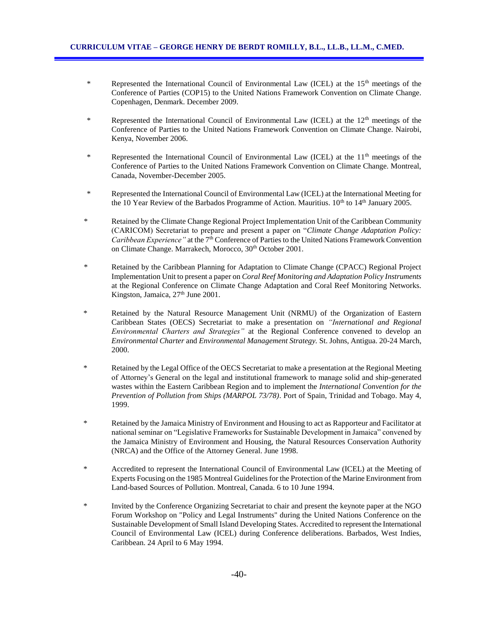- \* Represented the International Council of Environmental Law (ICEL) at the 15<sup>th</sup> meetings of the Conference of Parties (COP15) to the United Nations Framework Convention on Climate Change. Copenhagen, Denmark. December 2009.
- \* Represented the International Council of Environmental Law (ICEL) at the 12<sup>th</sup> meetings of the Conference of Parties to the United Nations Framework Convention on Climate Change. Nairobi, Kenya, November 2006.
- \* Represented the International Council of Environmental Law (ICEL) at the  $11<sup>th</sup>$  meetings of the Conference of Parties to the United Nations Framework Convention on Climate Change. Montreal, Canada, November-December 2005.
- \* Represented the International Council of Environmental Law (ICEL) at the International Meeting for the 10 Year Review of the Barbados Programme of Action. Mauritius.  $10^{th}$  to  $14^{th}$  January 2005.
- \* Retained by the Climate Change Regional Project Implementation Unit of the Caribbean Community (CARICOM) Secretariat to prepare and present a paper on "*Climate Change Adaptation Policy: Caribbean Experience"* at the 7<sup>th</sup> Conference of Parties to the United Nations Framework Convention on Climate Change. Marrakech, Morocco, 30<sup>th</sup> October 2001.
- \* Retained by the Caribbean Planning for Adaptation to Climate Change (CPACC) Regional Project Implementation Unit to present a paper on *Coral Reef Monitoring and Adaptation Policy Instruments*  at the Regional Conference on Climate Change Adaptation and Coral Reef Monitoring Networks. Kingston, Jamaica, 27<sup>th</sup> June 2001.
- \* Retained by the Natural Resource Management Unit (NRMU) of the Organization of Eastern Caribbean States (OECS) Secretariat to make a presentation on *"International and Regional Environmental Charters and Strategies"* at the Regional Conference convened to develop an *Environmental Charter* and *Environmental Management Strategy.* St. Johns, Antigua. 20-24 March, 2000.
- \* Retained by the Legal Office of the OECS Secretariat to make a presentation at the Regional Meeting of Attorney's General on the legal and institutional framework to manage solid and ship-generated wastes within the Eastern Caribbean Region and to implement the *International Convention for the Prevention of Pollution from Ships (MARPOL 73/78)*. Port of Spain, Trinidad and Tobago. May 4, 1999.
- \* Retained by the Jamaica Ministry of Environment and Housing to act as Rapporteur and Facilitator at national seminar on "Legislative Frameworks for Sustainable Development in Jamaica" convened by the Jamaica Ministry of Environment and Housing, the Natural Resources Conservation Authority (NRCA) and the Office of the Attorney General. June 1998.
- \* Accredited to represent the International Council of Environmental Law (ICEL) at the Meeting of Experts Focusing on the 1985 Montreal Guidelines for the Protection of the Marine Environment from Land-based Sources of Pollution. Montreal, Canada. 6 to 10 June 1994.
- \* Invited by the Conference Organizing Secretariat to chair and present the keynote paper at the NGO Forum Workshop on "Policy and Legal Instruments" during the United Nations Conference on the Sustainable Development of Small Island Developing States. Accredited to represent the International Council of Environmental Law (ICEL) during Conference deliberations. Barbados, West Indies, Caribbean. 24 April to 6 May 1994.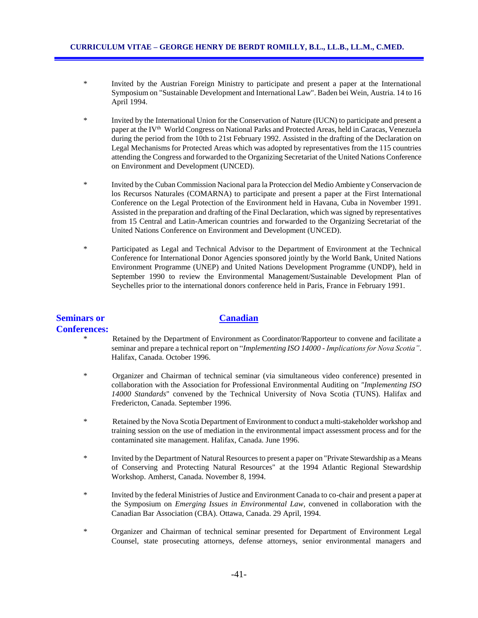- \* Invited by the Austrian Foreign Ministry to participate and present a paper at the International Symposium on "Sustainable Development and International Law". Baden bei Wein, Austria. 14 to 16 April 1994.
- \* Invited by the International Union for the Conservation of Nature (IUCN) to participate and present a paper at the IV<sup>th</sup> World Congress on National Parks and Protected Areas, held in Caracas, Venezuela during the period from the 10th to 21st February 1992. Assisted in the drafting of the Declaration on Legal Mechanisms for Protected Areas which was adopted by representatives from the 115 countries attending the Congress and forwarded to the Organizing Secretariat of the United Nations Conference on Environment and Development (UNCED).
- \* Invited by the Cuban Commission Nacional para la Proteccion del Medio Ambiente y Conservacion de los Recursos Naturales (COMARNA) to participate and present a paper at the First International Conference on the Legal Protection of the Environment held in Havana, Cuba in November 1991. Assisted in the preparation and drafting of the Final Declaration, which was signed by representatives from 15 Central and Latin-American countries and forwarded to the Organizing Secretariat of the United Nations Conference on Environment and Development (UNCED).
- \* Participated as Legal and Technical Advisor to the Department of Environment at the Technical Conference for International Donor Agencies sponsored jointly by the World Bank, United Nations Environment Programme (UNEP) and United Nations Development Programme (UNDP), held in September 1990 to review the Environmental Management/Sustainable Development Plan of Seychelles prior to the international donors conference held in Paris, France in February 1991.

# **Seminars or Canadian Conferences:**

- Retained by the Department of Environment as Coordinator/Rapporteur to convene and facilitate a seminar and prepare a technical report on "*Implementing ISO 14000 - Implications for Nova Scotia"*. Halifax, Canada. October 1996.
- \* Organizer and Chairman of technical seminar (via simultaneous video conference) presented in collaboration with the Association for Professional Environmental Auditing on *"Implementing ISO 14000 Standards*" convened by the Technical University of Nova Scotia (TUNS). Halifax and Fredericton, Canada. September 1996.
- \* Retained by the Nova Scotia Department of Environment to conduct a multi-stakeholder workshop and training session on the use of mediation in the environmental impact assessment process and for the contaminated site management. Halifax, Canada. June 1996.
- \* Invited by the Department of Natural Resources to present a paper on "Private Stewardship as a Means of Conserving and Protecting Natural Resources" at the 1994 Atlantic Regional Stewardship Workshop. Amherst, Canada. November 8, 1994.
- \* Invited by the federal Ministries of Justice and Environment Canada to co-chair and present a paper at the Symposium on *Emerging Issues in Environmental Law*, convened in collaboration with the Canadian Bar Association (CBA). Ottawa, Canada. 29 April, 1994.
- \* Organizer and Chairman of technical seminar presented for Department of Environment Legal Counsel, state prosecuting attorneys, defense attorneys, senior environmental managers and